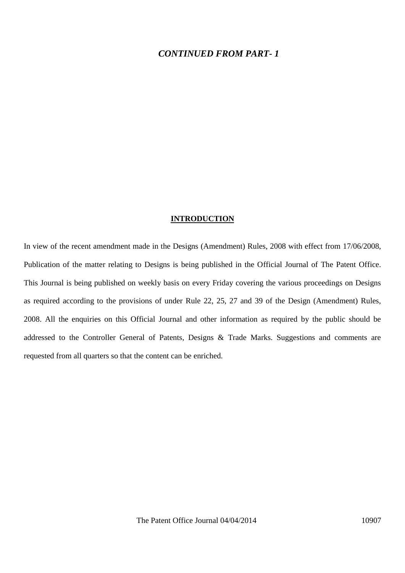#### *CONTINUED FROM PART- 1*

#### **INTRODUCTION**

In view of the recent amendment made in the Designs (Amendment) Rules, 2008 with effect from 17/06/2008, Publication of the matter relating to Designs is being published in the Official Journal of The Patent Office. This Journal is being published on weekly basis on every Friday covering the various proceedings on Designs as required according to the provisions of under Rule 22, 25, 27 and 39 of the Design (Amendment) Rules, 2008. All the enquiries on this Official Journal and other information as required by the public should be addressed to the Controller General of Patents, Designs & Trade Marks. Suggestions and comments are requested from all quarters so that the content can be enriched.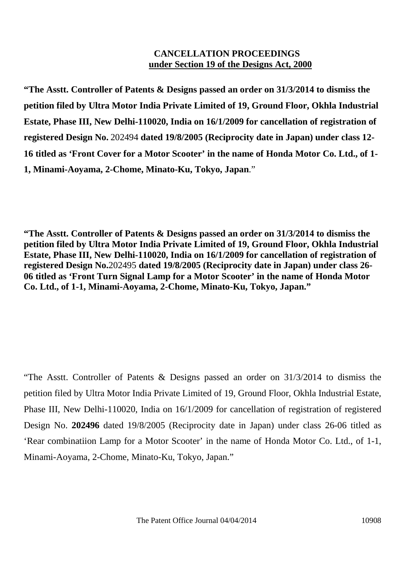### **CANCELLATION PROCEEDINGS under Section 19 of the Designs Act, 2000**

**"The Asstt. Controller of Patents & Designs passed an order on 31/3/2014 to dismiss the petition filed by Ultra Motor India Private Limited of 19, Ground Floor, Okhla Industrial Estate, Phase III, New Delhi-110020, India on 16/1/2009 for cancellation of registration of registered Design No.** 202494 **dated 19/8/2005 (Reciprocity date in Japan) under class 12- 16 titled as 'Front Cover for a Motor Scooter' in the name of Honda Motor Co. Ltd., of 1- 1, Minami-Aoyama, 2-Chome, Minato-Ku, Tokyo, Japan**."

**"The Asstt. Controller of Patents & Designs passed an order on 31/3/2014 to dismiss the petition filed by Ultra Motor India Private Limited of 19, Ground Floor, Okhla Industrial Estate, Phase III, New Delhi-110020, India on 16/1/2009 for cancellation of registration of registered Design No.**202495 **dated 19/8/2005 (Reciprocity date in Japan) under class 26- 06 titled as 'Front Turn Signal Lamp for a Motor Scooter' in the name of Honda Motor Co. Ltd., of 1-1, Minami-Aoyama, 2-Chome, Minato-Ku, Tokyo, Japan."**

"The Asstt. Controller of Patents & Designs passed an order on 31/3/2014 to dismiss the petition filed by Ultra Motor India Private Limited of 19, Ground Floor, Okhla Industrial Estate, Phase III, New Delhi-110020, India on 16/1/2009 for cancellation of registration of registered Design No. **202496** dated 19/8/2005 (Reciprocity date in Japan) under class 26-06 titled as 'Rear combinatiion Lamp for a Motor Scooter' in the name of Honda Motor Co. Ltd., of 1-1, Minami-Aoyama, 2-Chome, Minato-Ku, Tokyo, Japan."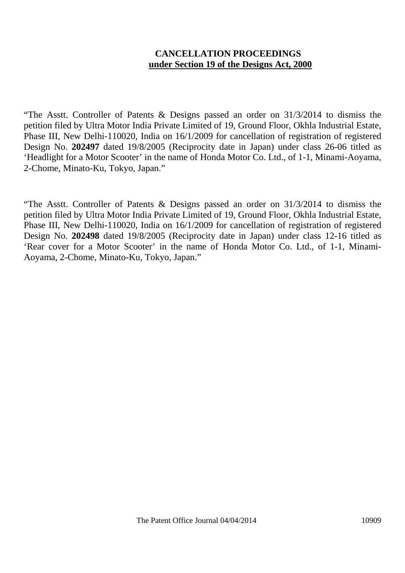## **CANCELLATION PROCEEDINGS under Section 19 of the Designs Act, 2000**

"The Asstt. Controller of Patents & Designs passed an order on 31/3/2014 to dismiss the petition filed by Ultra Motor India Private Limited of 19, Ground Floor, Okhla Industrial Estate, Phase III, New Delhi-110020, India on 16/1/2009 for cancellation of registration of registered Design No. **202497** dated 19/8/2005 (Reciprocity date in Japan) under class 26-06 titled as 'Headlight for a Motor Scooter' in the name of Honda Motor Co. Ltd., of 1-1, Minami-Aoyama, 2-Chome, Minato-Ku, Tokyo, Japan."

"The Asstt. Controller of Patents & Designs passed an order on 31/3/2014 to dismiss the petition filed by Ultra Motor India Private Limited of 19, Ground Floor, Okhla Industrial Estate, Phase III, New Delhi-110020, India on 16/1/2009 for cancellation of registration of registered Design No. **202498** dated 19/8/2005 (Reciprocity date in Japan) under class 12-16 titled as 'Rear cover for a Motor Scooter' in the name of Honda Motor Co. Ltd., of 1-1, Minami- Aoyama, 2-Chome, Minato-Ku, Tokyo, Japan."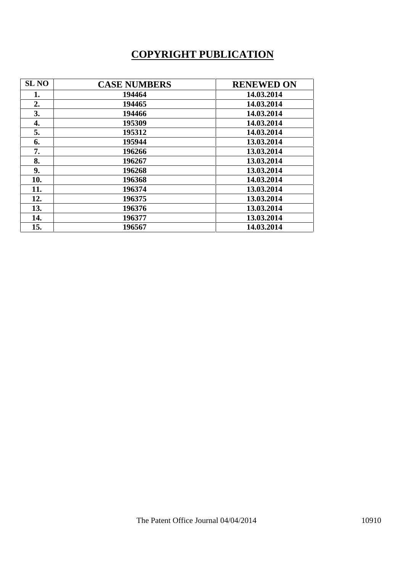# **COPYRIGHT PUBLICATION**

| <b>SL NO</b> | <b>CASE NUMBERS</b> | <b>RENEWED ON</b> |
|--------------|---------------------|-------------------|
| 1.           | 194464              | 14.03.2014        |
| 2.           | 194465              | 14.03.2014        |
| 3.           | 194466              | 14.03.2014        |
| 4.           | 195309              | 14.03.2014        |
| 5.           | 195312              | 14.03.2014        |
| 6.           | 195944              | 13.03.2014        |
| 7.           | 196266              | 13.03.2014        |
| 8.           | 196267              | 13.03.2014        |
| 9.           | 196268              | 13.03.2014        |
| 10.          | 196368              | 14.03.2014        |
| 11.          | 196374              | 13.03.2014        |
| 12.          | 196375              | 13.03.2014        |
| 13.          | 196376              | 13.03.2014        |
| 14.          | 196377              | 13.03.2014        |
| 15.          | 196567              | 14.03.2014        |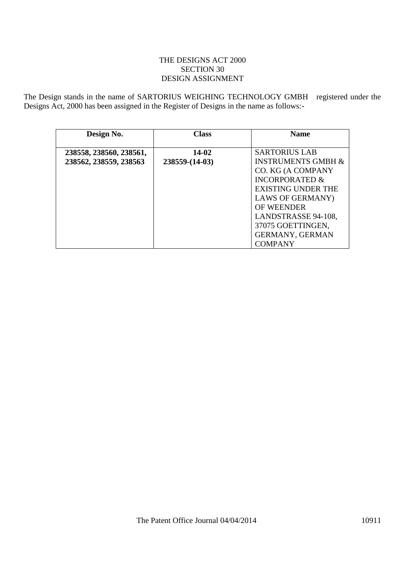#### THE DESIGNS ACT 2000 SECTION 30 DESIGN ASSIGNMENT

The Design stands in the name of SARTORIUS WEIGHING TECHNOLOGY GMBH registered under the Designs Act, 2000 has been assigned in the Register of Designs in the name as follows:-

| Design No.              | <b>Class</b>     | <b>Name</b>                   |
|-------------------------|------------------|-------------------------------|
| 238558, 238560, 238561, | 14-02            | <b>SARTORIUS LAB</b>          |
| 238562, 238559, 238563  | $238559-(14-03)$ | <b>INSTRUMENTS GMBH &amp;</b> |
|                         |                  | CO. KG (A COMPANY             |
|                         |                  | <b>INCORPORATED &amp;</b>     |
|                         |                  | <b>EXISTING UNDER THE</b>     |
|                         |                  | <b>LAWS OF GERMANY</b> )      |
|                         |                  | <b>OF WEENDER</b>             |
|                         |                  | LANDSTRASSE 94-108,           |
|                         |                  | 37075 GOETTINGEN,             |
|                         |                  | <b>GERMANY, GERMAN</b>        |
|                         |                  | <b>COMPANY</b>                |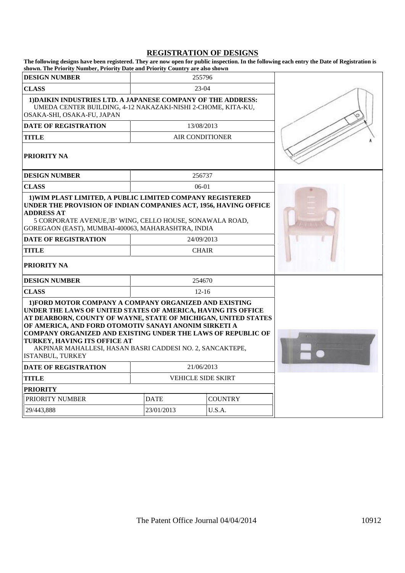# **REGISTRATION OF DESIGNS**<br>The following designs have been registered. They are now open for public inspection. In the fo

| The following designs have been registered. They are now open for public inspection. In the following each entry the Date of Registration is<br>shown. The Priority Number, Priority Date and Priority Country are also shown                                                                                                                                                                                                              |                           |                        |                |  |
|--------------------------------------------------------------------------------------------------------------------------------------------------------------------------------------------------------------------------------------------------------------------------------------------------------------------------------------------------------------------------------------------------------------------------------------------|---------------------------|------------------------|----------------|--|
| <b>DESIGN NUMBER</b>                                                                                                                                                                                                                                                                                                                                                                                                                       |                           | 255796                 |                |  |
| <b>CLASS</b>                                                                                                                                                                                                                                                                                                                                                                                                                               |                           | 23-04                  |                |  |
| 1) DAIKIN INDUSTRIES LTD. A JAPANESE COMPANY OF THE ADDRESS:<br>UMEDA CENTER BUILDING, 4-12 NAKAZAKI-NISHI 2-CHOME, KITA-KU,<br>OSAKA-SHI, OSAKA-FU, JAPAN                                                                                                                                                                                                                                                                                 |                           |                        |                |  |
| <b>DATE OF REGISTRATION</b>                                                                                                                                                                                                                                                                                                                                                                                                                |                           | 13/08/2013             |                |  |
| <b>TITLE</b>                                                                                                                                                                                                                                                                                                                                                                                                                               |                           | <b>AIR CONDITIONER</b> |                |  |
| <b>PRIORITY NA</b>                                                                                                                                                                                                                                                                                                                                                                                                                         |                           |                        |                |  |
| <b>DESIGN NUMBER</b>                                                                                                                                                                                                                                                                                                                                                                                                                       |                           | 256737                 |                |  |
| <b>CLASS</b>                                                                                                                                                                                                                                                                                                                                                                                                                               |                           | 06-01                  |                |  |
| 1) WIM PLAST LIMITED, A PUBLIC LIMITED COMPANY REGISTERED<br>UNDER THE PROVISION OF INDIAN COMPANIES ACT, 1956, HAVING OFFICE<br><b>ADDRESS AT</b><br>5 CORPORATE AVENUE, B' WING, CELLO HOUSE, SONAWALA ROAD,<br>GOREGAON (EAST), MUMBAI-400063, MAHARASHTRA, INDIA                                                                                                                                                                       |                           |                        |                |  |
| <b>DATE OF REGISTRATION</b>                                                                                                                                                                                                                                                                                                                                                                                                                |                           | 24/09/2013             |                |  |
| <b>TITLE</b>                                                                                                                                                                                                                                                                                                                                                                                                                               | <b>CHAIR</b>              |                        |                |  |
| <b>PRIORITY NA</b>                                                                                                                                                                                                                                                                                                                                                                                                                         |                           |                        |                |  |
| <b>DESIGN NUMBER</b>                                                                                                                                                                                                                                                                                                                                                                                                                       |                           | 254670                 |                |  |
| <b>CLASS</b>                                                                                                                                                                                                                                                                                                                                                                                                                               |                           | $12 - 16$              |                |  |
| 1) FORD MOTOR COMPANY A COMPANY ORGANIZED AND EXISTING<br>UNDER THE LAWS OF UNITED STATES OF AMERICA, HAVING ITS OFFICE<br>AT DEARBORN, COUNTY OF WAYNE, STATE OF MICHIGAN, UNITED STATES<br>OF AMERICA, AND FORD OTOMOTIV SANAYI ANONIM SIRKETI A<br><b>COMPANY ORGANIZED AND EXISTING UNDER THE LAWS OF REPUBLIC OF</b><br>TURKEY, HAVING ITS OFFICE AT<br>AKPINAR MAHALLESI, HASAN BASRI CADDESI NO. 2, SANCAKTEPE,<br>ISTANBUL, TURKEY |                           |                        |                |  |
| DATE OF REGISTRATION                                                                                                                                                                                                                                                                                                                                                                                                                       | 21/06/2013                |                        |                |  |
| <b>TITLE</b>                                                                                                                                                                                                                                                                                                                                                                                                                               | <b>VEHICLE SIDE SKIRT</b> |                        |                |  |
| <b>PRIORITY</b>                                                                                                                                                                                                                                                                                                                                                                                                                            |                           |                        |                |  |
| PRIORITY NUMBER                                                                                                                                                                                                                                                                                                                                                                                                                            |                           | <b>DATE</b>            | <b>COUNTRY</b> |  |
| 29/443,888                                                                                                                                                                                                                                                                                                                                                                                                                                 |                           | 23/01/2013             |                |  |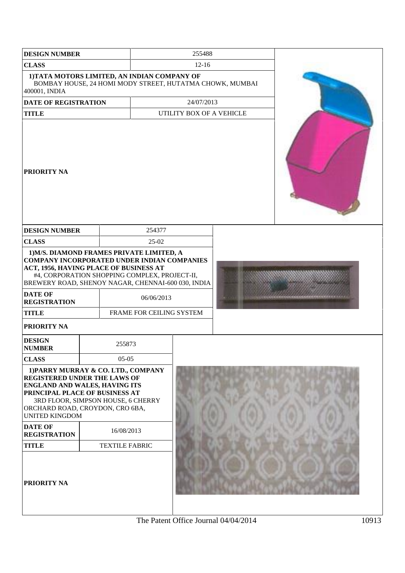| <b>DESIGN NUMBER</b>                                                                                                                                                                                                                                                                                                                                                                                    |  |        |            | 255488                   |  |  |  |
|---------------------------------------------------------------------------------------------------------------------------------------------------------------------------------------------------------------------------------------------------------------------------------------------------------------------------------------------------------------------------------------------------------|--|--------|------------|--------------------------|--|--|--|
| <b>CLASS</b>                                                                                                                                                                                                                                                                                                                                                                                            |  |        |            | $12-16$                  |  |  |  |
| 1) TATA MOTORS LIMITED, AN INDIAN COMPANY OF<br>BOMBAY HOUSE, 24 HOMI MODY STREET, HUTATMA CHOWK, MUMBAI<br>400001, INDIA                                                                                                                                                                                                                                                                               |  |        |            |                          |  |  |  |
| <b>DATE OF REGISTRATION</b>                                                                                                                                                                                                                                                                                                                                                                             |  |        |            | 24/07/2013               |  |  |  |
| <b>TITLE</b>                                                                                                                                                                                                                                                                                                                                                                                            |  |        |            | UTILITY BOX OF A VEHICLE |  |  |  |
| <b>PRIORITY NA</b>                                                                                                                                                                                                                                                                                                                                                                                      |  |        |            |                          |  |  |  |
| <b>DESIGN NUMBER</b>                                                                                                                                                                                                                                                                                                                                                                                    |  |        | 254377     |                          |  |  |  |
| <b>CLASS</b>                                                                                                                                                                                                                                                                                                                                                                                            |  |        | $25-02$    |                          |  |  |  |
| 1) M/S. DIAMOND FRAMES PRIVATE LIMITED, A<br>COMPANY INCORPORATED UNDER INDIAN COMPANIES<br>ACT, 1956, HAVING PLACE OF BUSINESS AT<br>#4, CORPORATION SHOPPING COMPLEX, PROJECT-II,<br>BREWERY ROAD, SHENOY NAGAR, CHENNAI-600 030, INDIA<br><b>DATE OF</b><br><b>REGISTRATION</b><br><b>TITLE</b><br>PRIORITY NA                                                                                       |  |        | 06/06/2013 | FRAME FOR CEILING SYSTEM |  |  |  |
| <b>DESIGN</b><br><b>NUMBER</b>                                                                                                                                                                                                                                                                                                                                                                          |  | 255873 |            |                          |  |  |  |
| <b>CLASS</b><br>$05-05$<br>1) PARRY MURRAY & CO. LTD., COMPANY<br><b>REGISTERED UNDER THE LAWS OF</b><br><b>ENGLAND AND WALES, HAVING ITS</b><br>PRINCIPAL PLACE OF BUSINESS AT<br>3RD FLOOR, SIMPSON HOUSE, 6 CHERRY<br>ORCHARD ROAD, CROYDON, CRO 6BA,<br><b>UNITED KINGDOM</b><br><b>DATE OF</b><br>16/08/2013<br><b>REGISTRATION</b><br><b>TITLE</b><br><b>TEXTILE FABRIC</b><br><b>PRIORITY NA</b> |  |        |            |                          |  |  |  |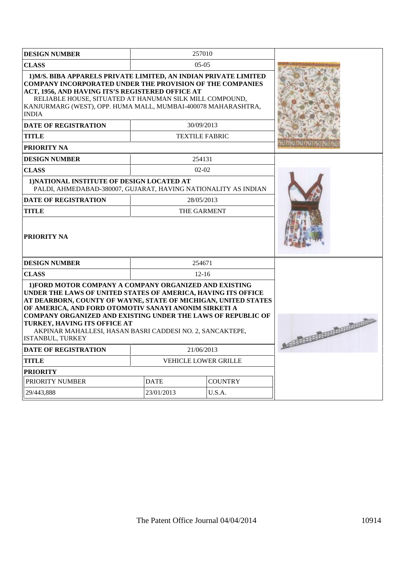| <b>DESIGN NUMBER</b>                                                                                                                                                                                                                                                                                                                                                                                                                       | 257010                              |                |                                 |
|--------------------------------------------------------------------------------------------------------------------------------------------------------------------------------------------------------------------------------------------------------------------------------------------------------------------------------------------------------------------------------------------------------------------------------------------|-------------------------------------|----------------|---------------------------------|
| <b>CLASS</b>                                                                                                                                                                                                                                                                                                                                                                                                                               |                                     |                |                                 |
| 1) M/S. BIBA APPARELS PRIVATE LIMITED, AN INDIAN PRIVATE LIMITED<br><b>COMPANY INCORPORATED UNDER THE PROVISION OF THE COMPANIES</b><br>ACT, 1956, AND HAVING ITS'S REGISTERED OFFICE AT<br>RELIABLE HOUSE, SITUATED AT HANUMAN SILK MILL COMPOUND,<br>KANJURMARG (WEST), OPP. HUMA MALL, MUMBAI-400078 MAHARASHTRA,<br><b>INDIA</b><br><b>DATE OF REGISTRATION</b><br><b>TITLE</b><br><b>PRIORITY NA</b>                                  | 30/09/2013<br><b>TEXTILE FABRIC</b> |                |                                 |
| <b>DESIGN NUMBER</b>                                                                                                                                                                                                                                                                                                                                                                                                                       | 254131                              |                |                                 |
| <b>CLASS</b>                                                                                                                                                                                                                                                                                                                                                                                                                               | $02-02$                             |                |                                 |
| 1) NATIONAL INSTITUTE OF DESIGN LOCATED AT<br>PALDI, AHMEDABAD-380007, GUJARAT, HAVING NATIONALITY AS INDIAN                                                                                                                                                                                                                                                                                                                               |                                     |                |                                 |
| <b>DATE OF REGISTRATION</b>                                                                                                                                                                                                                                                                                                                                                                                                                | 28/05/2013                          |                |                                 |
| <b>TITLE</b>                                                                                                                                                                                                                                                                                                                                                                                                                               | THE GARMENT                         |                |                                 |
| <b>PRIORITY NA</b>                                                                                                                                                                                                                                                                                                                                                                                                                         |                                     |                |                                 |
| <b>DESIGN NUMBER</b>                                                                                                                                                                                                                                                                                                                                                                                                                       | 254671                              |                |                                 |
| <b>CLASS</b>                                                                                                                                                                                                                                                                                                                                                                                                                               | $12 - 16$                           |                |                                 |
| 1) FORD MOTOR COMPANY A COMPANY ORGANIZED AND EXISTING<br>UNDER THE LAWS OF UNITED STATES OF AMERICA, HAVING ITS OFFICE<br>AT DEARBORN, COUNTY OF WAYNE, STATE OF MICHIGAN, UNITED STATES<br>OF AMERICA. AND FORD OTOMOTIV SANAYI ANONIM SIRKETI A<br><b>COMPANY ORGANIZED AND EXISTING UNDER THE LAWS OF REPUBLIC OF</b><br>TURKEY, HAVING ITS OFFICE AT<br>AKPINAR MAHALLESI, HASAN BASRI CADDESI NO. 2, SANCAKTEPE,<br>ISTANBUL, TURKEY |                                     |                | As the state of the contract of |
| <b>DATE OF REGISTRATION</b>                                                                                                                                                                                                                                                                                                                                                                                                                | 21/06/2013                          |                |                                 |
| <b>TITLE</b>                                                                                                                                                                                                                                                                                                                                                                                                                               | <b>VEHICLE LOWER GRILLE</b>         |                |                                 |
| <b>PRIORITY</b>                                                                                                                                                                                                                                                                                                                                                                                                                            |                                     |                |                                 |
| PRIORITY NUMBER                                                                                                                                                                                                                                                                                                                                                                                                                            | <b>DATE</b>                         | <b>COUNTRY</b> |                                 |
| 29/443.888                                                                                                                                                                                                                                                                                                                                                                                                                                 | 23/01/2013                          | U.S.A.         |                                 |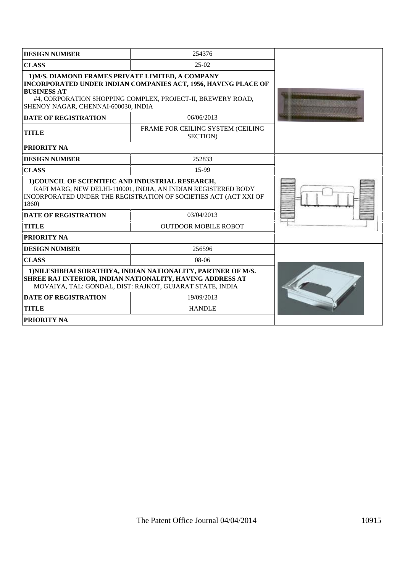| <b>DESIGN NUMBER</b>                                                                                                                                                                            | 254376                                                                                                                        |  |
|-------------------------------------------------------------------------------------------------------------------------------------------------------------------------------------------------|-------------------------------------------------------------------------------------------------------------------------------|--|
| <b>CLASS</b>                                                                                                                                                                                    | $25-02$                                                                                                                       |  |
| 1) M/S. DIAMOND FRAMES PRIVATE LIMITED, A COMPANY<br><b>BUSINESS AT</b><br>SHENOY NAGAR, CHENNAI-600030, INDIA                                                                                  | INCORPORATED UNDER INDIAN COMPANIES ACT, 1956, HAVING PLACE OF<br>#4, CORPORATION SHOPPING COMPLEX, PROJECT-II, BREWERY ROAD, |  |
| <b>DATE OF REGISTRATION</b>                                                                                                                                                                     | 06/06/2013                                                                                                                    |  |
| <b>TITLE</b>                                                                                                                                                                                    | FRAME FOR CEILING SYSTEM (CEILING<br>SECTION)                                                                                 |  |
| <b>PRIORITY NA</b>                                                                                                                                                                              |                                                                                                                               |  |
| <b>DESIGN NUMBER</b>                                                                                                                                                                            | 252833                                                                                                                        |  |
| <b>CLASS</b>                                                                                                                                                                                    | 15-99                                                                                                                         |  |
| 1) COUNCIL OF SCIENTIFIC AND INDUSTRIAL RESEARCH,<br>RAFI MARG, NEW DELHI-110001, INDIA, AN INDIAN REGISTERED BODY<br>INCORPORATED UNDER THE REGISTRATION OF SOCIETIES ACT (ACT XXI OF<br>1860) |                                                                                                                               |  |
| <b>DATE OF REGISTRATION</b>                                                                                                                                                                     | 03/04/2013                                                                                                                    |  |
| <b>TITLE</b>                                                                                                                                                                                    | <b>OUTDOOR MOBILE ROBOT</b>                                                                                                   |  |
| <b>PRIORITY NA</b>                                                                                                                                                                              |                                                                                                                               |  |
| <b>DESIGN NUMBER</b>                                                                                                                                                                            | 256596                                                                                                                        |  |
| <b>CLASS</b>                                                                                                                                                                                    |                                                                                                                               |  |
| 1) NILESHBHAI SORATHIYA, INDIAN NATIONALITY, PARTNER OF M/S.<br>SHREE RAJ INTERIOR, INDIAN NATIONALITY, HAVING ADDRESS AT<br>MOVAIYA, TAL: GONDAL, DIST: RAJKOT, GUJARAT STATE, INDIA           |                                                                                                                               |  |
| <b>DATE OF REGISTRATION</b>                                                                                                                                                                     | 19/09/2013                                                                                                                    |  |
| <b>TITLE</b>                                                                                                                                                                                    | <b>HANDLE</b>                                                                                                                 |  |
| <b>PRIORITY NA</b>                                                                                                                                                                              |                                                                                                                               |  |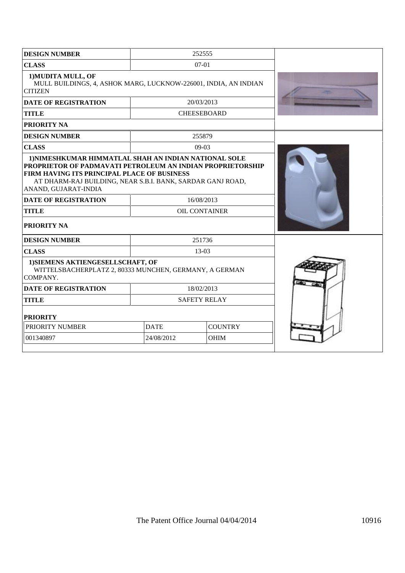| <b>DESIGN NUMBER</b>                                                                                                                                                                                                                                            |             | 252555             |  |
|-----------------------------------------------------------------------------------------------------------------------------------------------------------------------------------------------------------------------------------------------------------------|-------------|--------------------|--|
| <b>CLASS</b>                                                                                                                                                                                                                                                    |             | 07-01              |  |
| 1) MUDITA MULL, OF<br>MULL BUILDINGS, 4, ASHOK MARG, LUCKNOW-226001, INDIA, AN INDIAN<br><b>CITIZEN</b>                                                                                                                                                         |             |                    |  |
| <b>DATE OF REGISTRATION</b>                                                                                                                                                                                                                                     |             | 20/03/2013         |  |
| <b>TITLE</b>                                                                                                                                                                                                                                                    |             | <b>CHEESEBOARD</b> |  |
| <b>PRIORITY NA</b>                                                                                                                                                                                                                                              |             |                    |  |
| <b>DESIGN NUMBER</b>                                                                                                                                                                                                                                            |             | 255879             |  |
| <b>CLASS</b>                                                                                                                                                                                                                                                    |             | 09-03              |  |
| 1) NIMESHKUMAR HIMMATLAL SHAH AN INDIAN NATIONAL SOLE<br><b>PROPRIETOR OF PADMAVATI PETROLEUM AN INDIAN PROPRIETORSHIP</b><br>FIRM HAVING ITS PRINCIPAL PLACE OF BUSINESS<br>AT DHARM-RAJ BUILDING, NEAR S.B.I. BANK, SARDAR GANJ ROAD,<br>ANAND, GUJARAT-INDIA |             |                    |  |
| <b>DATE OF REGISTRATION</b>                                                                                                                                                                                                                                     |             | 16/08/2013         |  |
| <b>TITLE</b><br><b>OIL CONTAINER</b>                                                                                                                                                                                                                            |             |                    |  |
| PRIORITY NA                                                                                                                                                                                                                                                     |             |                    |  |
| <b>DESIGN NUMBER</b>                                                                                                                                                                                                                                            |             | 251736             |  |
| <b>CLASS</b>                                                                                                                                                                                                                                                    |             | 13-03              |  |
| 1) SIEMENS AKTIENGESELLSCHAFT, OF<br>WITTELSBACHERPLATZ 2, 80333 MUNCHEN, GERMANY, A GERMAN<br>COMPANY.                                                                                                                                                         |             |                    |  |
| <b>DATE OF REGISTRATION</b>                                                                                                                                                                                                                                     |             |                    |  |
| <b>TITLE</b><br><b>SAFETY RELAY</b>                                                                                                                                                                                                                             |             |                    |  |
| <b>PRIORITY</b>                                                                                                                                                                                                                                                 |             |                    |  |
| <b>PRIORITY NUMBER</b>                                                                                                                                                                                                                                          | <b>DATE</b> | <b>COUNTRY</b>     |  |
| 001340897                                                                                                                                                                                                                                                       | 24/08/2012  | <b>OHIM</b>        |  |
|                                                                                                                                                                                                                                                                 |             |                    |  |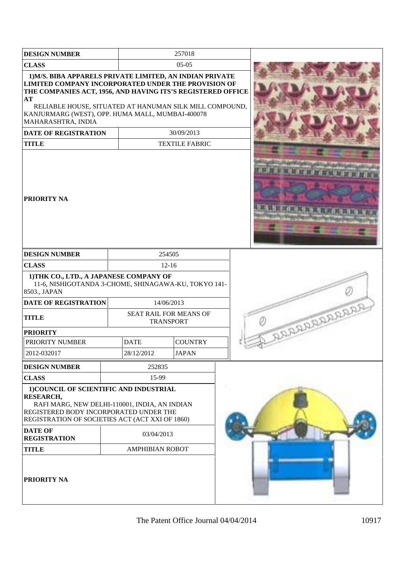| <b>DESIGN NUMBER</b>                                                                                                                                                                                                                                                                                                                                      |  |                                                                                                                                                   | 257018                |  |                    |
|-----------------------------------------------------------------------------------------------------------------------------------------------------------------------------------------------------------------------------------------------------------------------------------------------------------------------------------------------------------|--|---------------------------------------------------------------------------------------------------------------------------------------------------|-----------------------|--|--------------------|
| <b>CLASS</b>                                                                                                                                                                                                                                                                                                                                              |  | $05-05$                                                                                                                                           |                       |  |                    |
| 1) M/S. BIBA APPARELS PRIVATE LIMITED, AN INDIAN PRIVATE<br>LIMITED COMPANY INCORPORATED UNDER THE PROVISION OF<br>THE COMPANIES ACT, 1956, AND HAVING ITS'S REGISTERED OFFICE<br>AT<br>RELIABLE HOUSE, SITUATED AT HANUMAN SILK MILL COMPOUND,<br>KANJURMARG (WEST), OPP. HUMA MALL, MUMBAI-400078<br>MAHARASHTRA, INDIA                                 |  |                                                                                                                                                   |                       |  |                    |
| <b>DATE OF REGISTRATION</b>                                                                                                                                                                                                                                                                                                                               |  |                                                                                                                                                   | 30/09/2013            |  |                    |
| <b>TITLE</b>                                                                                                                                                                                                                                                                                                                                              |  |                                                                                                                                                   | <b>TEXTILE FABRIC</b> |  |                    |
| <b>PRIORITY NA</b>                                                                                                                                                                                                                                                                                                                                        |  |                                                                                                                                                   |                       |  |                    |
| <b>DESIGN NUMBER</b>                                                                                                                                                                                                                                                                                                                                      |  | 254505                                                                                                                                            |                       |  |                    |
| <b>CLASS</b>                                                                                                                                                                                                                                                                                                                                              |  | $12 - 16$                                                                                                                                         |                       |  |                    |
| 1) THK CO., LTD., A JAPANESE COMPANY OF<br>8503., JAPAN<br><b>DATE OF REGISTRATION</b><br><b>TITLE</b><br><b>PRIORITY</b>                                                                                                                                                                                                                                 |  | 11-6, NISHIGOTANDA 3-CHOME, SHINAGAWA-KU, TOKYO 141-<br>14/06/2013<br>SEAT RAIL FOR MEANS OF<br><b>TRANSPORT</b><br><b>COUNTRY</b><br><b>DATE</b> |                       |  | <b>ARAAREARAAS</b> |
| PRIORITY NUMBER<br>2012-032017                                                                                                                                                                                                                                                                                                                            |  | 28/12/2012                                                                                                                                        | <b>JAPAN</b>          |  |                    |
|                                                                                                                                                                                                                                                                                                                                                           |  |                                                                                                                                                   |                       |  |                    |
| <b>DESIGN NUMBER</b>                                                                                                                                                                                                                                                                                                                                      |  | 252835                                                                                                                                            |                       |  |                    |
| <b>CLASS</b><br>15-99<br>1) COUNCIL OF SCIENTIFIC AND INDUSTRIAL<br><b>RESEARCH,</b><br>RAFI MARG, NEW DELHI-110001, INDIA, AN INDIAN<br>REGISTERED BODY INCORPORATED UNDER THE<br>REGISTRATION OF SOCIETIES ACT (ACT XXI OF 1860)<br><b>DATE OF</b><br>03/04/2013<br><b>REGISTRATION</b><br><b>TITLE</b><br><b>AMPHIBIAN ROBOT</b><br><b>PRIORITY NA</b> |  |                                                                                                                                                   |                       |  |                    |
|                                                                                                                                                                                                                                                                                                                                                           |  |                                                                                                                                                   |                       |  |                    |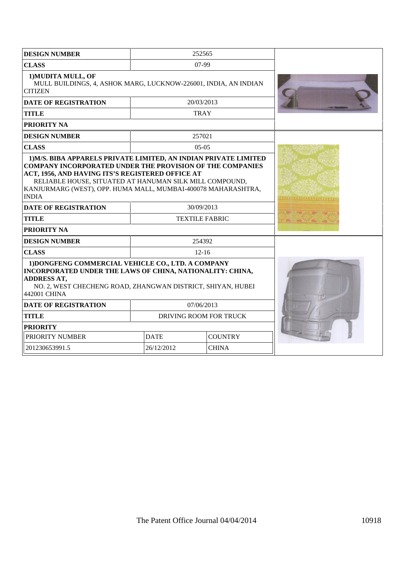| <b>DESIGN NUMBER</b>                                                                                                                                                                                                                                                                                                                 | 252565                 |                |                                      |  |  |
|--------------------------------------------------------------------------------------------------------------------------------------------------------------------------------------------------------------------------------------------------------------------------------------------------------------------------------------|------------------------|----------------|--------------------------------------|--|--|
| <b>CLASS</b>                                                                                                                                                                                                                                                                                                                         |                        |                |                                      |  |  |
| 1) MUDITA MULL, OF<br>MULL BUILDINGS, 4, ASHOK MARG, LUCKNOW-226001, INDIA, AN INDIAN<br><b>CITIZEN</b>                                                                                                                                                                                                                              |                        |                |                                      |  |  |
| <b>DATE OF REGISTRATION</b>                                                                                                                                                                                                                                                                                                          | 20/03/2013             |                |                                      |  |  |
| <b>TITLE</b>                                                                                                                                                                                                                                                                                                                         | <b>TRAY</b>            |                |                                      |  |  |
| <b>PRIORITY NA</b>                                                                                                                                                                                                                                                                                                                   |                        |                |                                      |  |  |
| <b>DESIGN NUMBER</b>                                                                                                                                                                                                                                                                                                                 | 257021                 |                |                                      |  |  |
| <b>CLASS</b>                                                                                                                                                                                                                                                                                                                         | $0.5 - 0.5$            |                |                                      |  |  |
| 1) M/S. BIBA APPARELS PRIVATE LIMITED, AN INDIAN PRIVATE LIMITED<br><b>COMPANY INCORPORATED UNDER THE PROVISION OF THE COMPANIES</b><br>ACT, 1956, AND HAVING ITS'S REGISTERED OFFICE AT<br>RELIABLE HOUSE, SITUATED AT HANUMAN SILK MILL COMPOUND,<br>KANJURMARG (WEST), OPP. HUMA MALL, MUMBAI-400078 MAHARASHTRA,<br><b>INDIA</b> |                        |                |                                      |  |  |
| <b>DATE OF REGISTRATION</b>                                                                                                                                                                                                                                                                                                          | 30/09/2013             |                |                                      |  |  |
| <b>TITLE</b>                                                                                                                                                                                                                                                                                                                         | <b>TEXTILE FABRIC</b>  |                | サクラールの見らせん アールの見らせん<br>We always the |  |  |
| <b>PRIORITY NA</b>                                                                                                                                                                                                                                                                                                                   |                        |                |                                      |  |  |
| <b>DESIGN NUMBER</b><br>254392                                                                                                                                                                                                                                                                                                       |                        |                |                                      |  |  |
|                                                                                                                                                                                                                                                                                                                                      |                        |                |                                      |  |  |
| <b>CLASS</b>                                                                                                                                                                                                                                                                                                                         | $12 - 16$              |                |                                      |  |  |
| 1) DONGFENG COMMERCIAL VEHICLE CO., LTD. A COMPANY<br>INCORPORATED UNDER THE LAWS OF CHINA, NATIONALITY: CHINA,<br><b>ADDRESS AT,</b><br>NO. 2, WEST CHECHENG ROAD, ZHANGWAN DISTRICT, SHIYAN, HUBEI<br>442001 CHINA                                                                                                                 |                        |                |                                      |  |  |
| <b>DATE OF REGISTRATION</b>                                                                                                                                                                                                                                                                                                          | 07/06/2013             |                |                                      |  |  |
| <b>TITLE</b>                                                                                                                                                                                                                                                                                                                         | DRIVING ROOM FOR TRUCK |                |                                      |  |  |
| <b>PRIORITY</b>                                                                                                                                                                                                                                                                                                                      |                        |                |                                      |  |  |
| PRIORITY NUMBER                                                                                                                                                                                                                                                                                                                      | <b>DATE</b>            | <b>COUNTRY</b> |                                      |  |  |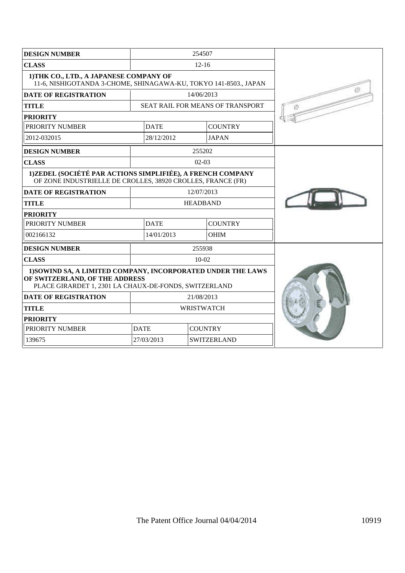| <b>DESIGN NUMBER</b>                                                                                                                                    |             | 254507                                  |  |
|---------------------------------------------------------------------------------------------------------------------------------------------------------|-------------|-----------------------------------------|--|
| <b>CLASS</b>                                                                                                                                            |             |                                         |  |
| 1) THK CO., LTD., A JAPANESE COMPANY OF<br>11-6, NISHIGOTANDA 3-CHOME, SHINAGAWA-KU, TOKYO 141-8503., JAPAN                                             |             |                                         |  |
| <b>DATE OF REGISTRATION</b>                                                                                                                             |             | 14/06/2013                              |  |
| <b>TITLE</b>                                                                                                                                            |             | <b>SEAT RAIL FOR MEANS OF TRANSPORT</b> |  |
| <b>PRIORITY</b>                                                                                                                                         |             |                                         |  |
| PRIORITY NUMBER                                                                                                                                         | <b>DATE</b> | <b>COUNTRY</b>                          |  |
| 2012-032015                                                                                                                                             | 28/12/2012  | <b>JAPAN</b>                            |  |
| <b>DESIGN NUMBER</b>                                                                                                                                    |             | 255202                                  |  |
| <b>CLASS</b>                                                                                                                                            |             | $02-03$                                 |  |
| 1)ZEDEL (SOCIÉTÉ PAR ACTIONS SIMPLIFIÉE), A FRENCH COMPANY<br>OF ZONE INDUSTRIELLE DE CROLLES, 38920 CROLLES, FRANCE (FR)                               |             |                                         |  |
| <b>DATE OF REGISTRATION</b>                                                                                                                             |             | 12/07/2013                              |  |
| <b>TITLE</b>                                                                                                                                            |             | <b>HEADBAND</b>                         |  |
| <b>PRIORITY</b>                                                                                                                                         |             |                                         |  |
| PRIORITY NUMBER                                                                                                                                         | <b>DATE</b> | <b>COUNTRY</b>                          |  |
| 002166132                                                                                                                                               | 14/01/2013  | <b>OHIM</b>                             |  |
| <b>DESIGN NUMBER</b>                                                                                                                                    |             | 255938                                  |  |
| <b>CLASS</b>                                                                                                                                            |             | $10-02$                                 |  |
| 1) SOWIND SA, A LIMITED COMPANY, INCORPORATED UNDER THE LAWS<br>OF SWITZERLAND, OF THE ADDRESS<br>PLACE GIRARDET 1, 2301 LA CHAUX-DE-FONDS, SWITZERLAND |             |                                         |  |
| <b>DATE OF REGISTRATION</b>                                                                                                                             |             |                                         |  |
| <b>TITLE</b>                                                                                                                                            |             |                                         |  |
| <b>PRIORITY</b>                                                                                                                                         |             |                                         |  |
| PRIORITY NUMBER                                                                                                                                         | <b>DATE</b> | <b>COUNTRY</b>                          |  |
| 139675                                                                                                                                                  | 27/03/2013  | <b>SWITZERLAND</b>                      |  |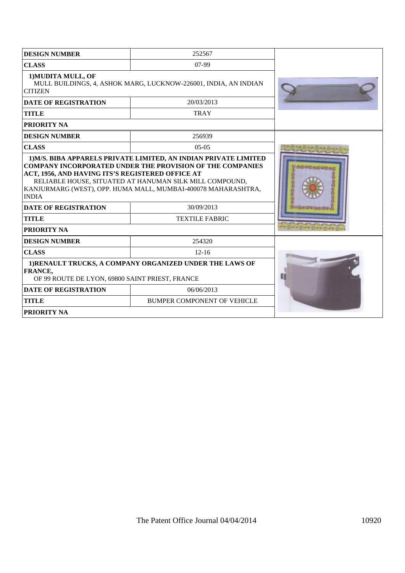| <b>DESIGN NUMBER</b>                                                                                                                                                                                                                                                                            | 252567                              |  |
|-------------------------------------------------------------------------------------------------------------------------------------------------------------------------------------------------------------------------------------------------------------------------------------------------|-------------------------------------|--|
| <b>CLASS</b>                                                                                                                                                                                                                                                                                    | 07-99                               |  |
| 1) MUDITA MULL, OF<br>MULL BUILDINGS, 4, ASHOK MARG, LUCKNOW-226001, INDIA, AN INDIAN<br><b>CITIZEN</b>                                                                                                                                                                                         |                                     |  |
| <b>DATE OF REGISTRATION</b>                                                                                                                                                                                                                                                                     | 20/03/2013                          |  |
| <b>TITLE</b>                                                                                                                                                                                                                                                                                    | <b>TRAY</b>                         |  |
| <b>PRIORITY NA</b>                                                                                                                                                                                                                                                                              |                                     |  |
| <b>DESIGN NUMBER</b>                                                                                                                                                                                                                                                                            | 256939                              |  |
| <b>CLASS</b>                                                                                                                                                                                                                                                                                    | $0.5 - 0.5$                         |  |
| <b>COMPANY INCORPORATED UNDER THE PROVISION OF THE COMPANIES</b><br>ACT, 1956, AND HAVING ITS'S REGISTERED OFFICE AT<br>RELIABLE HOUSE, SITUATED AT HANUMAN SILK MILL COMPOUND,<br>KANJURMARG (WEST), OPP. HUMA MALL, MUMBAI-400078 MAHARASHTRA,<br><b>INDIA</b><br><b>DATE OF REGISTRATION</b> |                                     |  |
| <b>TITLE</b>                                                                                                                                                                                                                                                                                    | 30/09/2013<br><b>TEXTILE FABRIC</b> |  |
| <b>PRIORITY NA</b>                                                                                                                                                                                                                                                                              |                                     |  |
| <b>DESIGN NUMBER</b>                                                                                                                                                                                                                                                                            | 254320                              |  |
| <b>CLASS</b>                                                                                                                                                                                                                                                                                    | $12 - 16$                           |  |
| 1) RENAULT TRUCKS, A COMPANY ORGANIZED UNDER THE LAWS OF<br><b>FRANCE,</b><br>OF 99 ROUTE DE LYON, 69800 SAINT PRIEST, FRANCE                                                                                                                                                                   |                                     |  |
| <b>DATE OF REGISTRATION</b>                                                                                                                                                                                                                                                                     | 06/06/2013                          |  |
| <b>TITLE</b>                                                                                                                                                                                                                                                                                    | <b>BUMPER COMPONENT OF VEHICLE</b>  |  |
| <b>PRIORITY NA</b>                                                                                                                                                                                                                                                                              |                                     |  |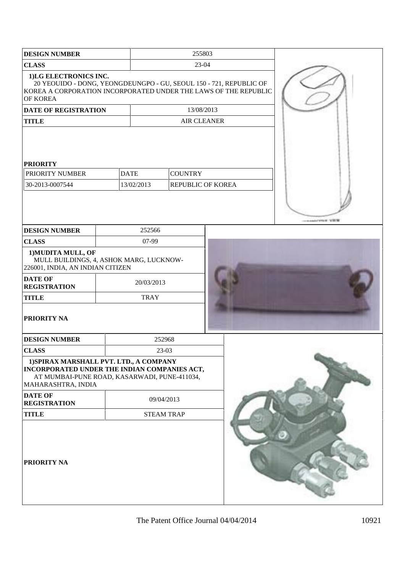| <b>DESIGN NUMBER</b>                                                                                                                                          |       | 255803            |                    |                                                                    |                                    |
|---------------------------------------------------------------------------------------------------------------------------------------------------------------|-------|-------------------|--------------------|--------------------------------------------------------------------|------------------------------------|
| <b>CLASS</b>                                                                                                                                                  | 23-04 |                   |                    |                                                                    |                                    |
| 1)LG ELECTRONICS INC.<br>KOREA A CORPORATION INCORPORATED UNDER THE LAWS OF THE REPUBLIC<br>OF KOREA                                                          |       |                   |                    | 20 YEOUIDO - DONG, YEONGDEUNGPO - GU, SEOUL 150 - 721, REPUBLIC OF |                                    |
| <b>DATE OF REGISTRATION</b>                                                                                                                                   |       |                   | 13/08/2013         |                                                                    |                                    |
| <b>TITLE</b>                                                                                                                                                  |       |                   | <b>AIR CLEANER</b> |                                                                    |                                    |
| <b>PRIORITY</b><br>PRIORITY NUMBER                                                                                                                            |       | <b>DATE</b>       | <b>COUNTRY</b>     |                                                                    |                                    |
| 30-2013-0007544                                                                                                                                               |       | 13/02/2013        |                    | REPUBLIC OF KOREA                                                  |                                    |
| <b>DESIGN NUMBER</b>                                                                                                                                          |       | 252566            |                    |                                                                    | and a second products. To the fill |
| <b>CLASS</b>                                                                                                                                                  |       | 07-99             |                    |                                                                    |                                    |
| 1) MUDITA MULL, OF<br>MULL BUILDINGS, 4, ASHOK MARG, LUCKNOW-<br>226001, INDIA, AN INDIAN CITIZEN                                                             |       |                   |                    |                                                                    |                                    |
| <b>DATE OF</b><br><b>REGISTRATION</b>                                                                                                                         |       | 20/03/2013        |                    |                                                                    |                                    |
| <b>TITLE</b>                                                                                                                                                  |       | <b>TRAY</b>       |                    |                                                                    |                                    |
| <b>PRIORITY NA</b>                                                                                                                                            |       |                   |                    |                                                                    |                                    |
| <b>DESIGN NUMBER</b>                                                                                                                                          |       | 252968            |                    |                                                                    |                                    |
| <b>CLASS</b>                                                                                                                                                  |       | 23-03             |                    |                                                                    |                                    |
| 1) SPIRAX MARSHALL PVT. LTD., A COMPANY<br>INCORPORATED UNDER THE INDIAN COMPANIES ACT,<br>AT MUMBAI-PUNE ROAD, KASARWADI, PUNE-411034,<br>MAHARASHTRA, INDIA |       |                   |                    |                                                                    |                                    |
| <b>DATE OF</b><br><b>REGISTRATION</b>                                                                                                                         |       | 09/04/2013        |                    |                                                                    |                                    |
| <b>TITLE</b>                                                                                                                                                  |       | <b>STEAM TRAP</b> |                    |                                                                    |                                    |
| <b>PRIORITY NA</b>                                                                                                                                            |       |                   |                    |                                                                    |                                    |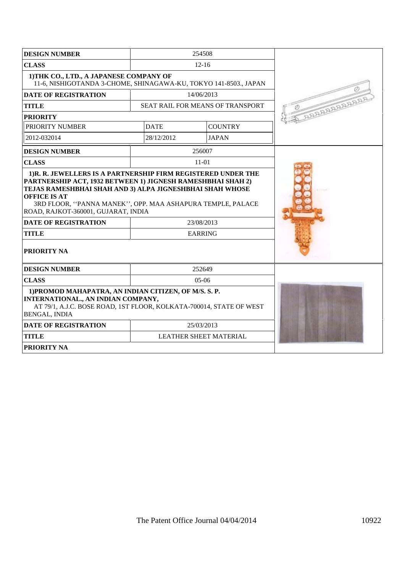| <b>DESIGN NUMBER</b>                                                                                                                                                                                                                                |             | 254508                           |                 |
|-----------------------------------------------------------------------------------------------------------------------------------------------------------------------------------------------------------------------------------------------------|-------------|----------------------------------|-----------------|
| <b>CLASS</b>                                                                                                                                                                                                                                        |             | $12 - 16$                        |                 |
| 1) THK CO., LTD., A JAPANESE COMPANY OF<br>11-6, NISHIGOTANDA 3-CHOME, SHINAGAWA-KU, TOKYO 141-8503., JAPAN                                                                                                                                         |             |                                  |                 |
| <b>DATE OF REGISTRATION</b>                                                                                                                                                                                                                         |             | 14/06/2013                       |                 |
| <b>TITLE</b>                                                                                                                                                                                                                                        |             | SEAT RAIL FOR MEANS OF TRANSPORT | <b>ADRABARA</b> |
| <b>PRIORITY</b>                                                                                                                                                                                                                                     |             |                                  |                 |
| PRIORITY NUMBER                                                                                                                                                                                                                                     | <b>DATE</b> | <b>COUNTRY</b>                   |                 |
| 2012-032014                                                                                                                                                                                                                                         | 28/12/2012  | <b>JAPAN</b>                     |                 |
| <b>DESIGN NUMBER</b>                                                                                                                                                                                                                                |             | 256007                           |                 |
| <b>CLASS</b>                                                                                                                                                                                                                                        |             | $11-01$                          |                 |
| PARTNERSHIP ACT, 1932 BETWEEN 1) JIGNESH RAMESHBHAI SHAH 2)<br>TEJAS RAMESHBHAI SHAH AND 3) ALPA JIGNESHBHAI SHAH WHOSE<br><b>OFFICE IS AT</b><br>3RD FLOOR, "PANNA MANEK", OPP. MAA ASHAPURA TEMPLE, PALACE<br>ROAD, RAJKOT-360001, GUJARAT, INDIA |             |                                  |                 |
| <b>DATE OF REGISTRATION</b>                                                                                                                                                                                                                         |             | 23/08/2013                       |                 |
| <b>TITLE</b>                                                                                                                                                                                                                                        |             | <b>EARRING</b>                   |                 |
| <b>PRIORITY NA</b>                                                                                                                                                                                                                                  |             |                                  |                 |
| <b>DESIGN NUMBER</b>                                                                                                                                                                                                                                |             | 252649                           |                 |
| <b>CLASS</b>                                                                                                                                                                                                                                        |             | $05-06$                          |                 |
| 1) PROMOD MAHAPATRA, AN INDIAN CITIZEN, OF M/S. S. P.<br>INTERNATIONAL., AN INDIAN COMPANY,<br>AT 79/1, A.J.C. BOSE ROAD, 1ST FLOOR, KOLKATA-700014, STATE OF WEST<br><b>BENGAL, INDIA</b>                                                          |             |                                  |                 |
| <b>DATE OF REGISTRATION</b>                                                                                                                                                                                                                         |             | 25/03/2013                       |                 |
| <b>TITLE</b>                                                                                                                                                                                                                                        |             | <b>LEATHER SHEET MATERIAL</b>    |                 |
| <b>PRIORITY NA</b>                                                                                                                                                                                                                                  |             |                                  |                 |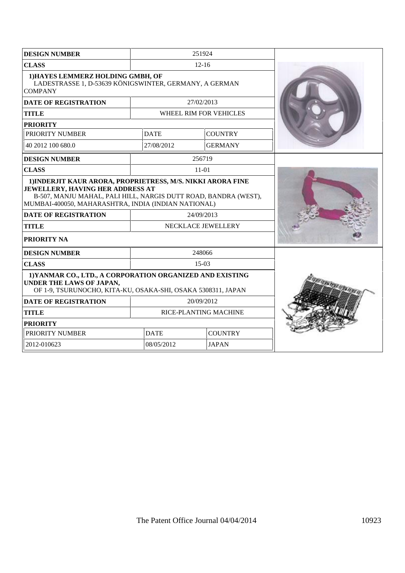| <b>DESIGN NUMBER</b>                                                                                                                                                                                                      |             | 251924                 |  |
|---------------------------------------------------------------------------------------------------------------------------------------------------------------------------------------------------------------------------|-------------|------------------------|--|
| <b>CLASS</b>                                                                                                                                                                                                              |             | $12 - 16$              |  |
| 1) HAYES LEMMERZ HOLDING GMBH, OF<br>LADESTRASSE 1, D-53639 KÖNIGSWINTER, GERMANY, A GERMAN<br><b>COMPANY</b>                                                                                                             |             |                        |  |
| <b>DATE OF REGISTRATION</b>                                                                                                                                                                                               |             | 27/02/2013             |  |
| <b>TITLE</b>                                                                                                                                                                                                              |             | WHEEL RIM FOR VEHICLES |  |
| <b>PRIORITY</b>                                                                                                                                                                                                           |             |                        |  |
| PRIORITY NUMBER                                                                                                                                                                                                           | <b>DATE</b> | <b>COUNTRY</b>         |  |
| 40 2012 100 680.0                                                                                                                                                                                                         | 27/08/2012  | <b>GERMANY</b>         |  |
| <b>DESIGN NUMBER</b>                                                                                                                                                                                                      |             | 256719                 |  |
| <b>CLASS</b>                                                                                                                                                                                                              |             | $11-01$                |  |
| 1) INDERJIT KAUR ARORA, PROPRIETRESS, M/S. NIKKI ARORA FINE<br>JEWELLERY, HAVING HER ADDRESS AT<br>B-507, MANJU MAHAL, PALI HILL, NARGIS DUTT ROAD, BANDRA (WEST),<br>MUMBAI-400050, MAHARASHTRA, INDIA (INDIAN NATIONAL) |             |                        |  |
| <b>DATE OF REGISTRATION</b>                                                                                                                                                                                               |             | 24/09/2013             |  |
| <b>TITLE</b>                                                                                                                                                                                                              |             | NECKLACE JEWELLERY     |  |
| PRIORITY NA                                                                                                                                                                                                               |             |                        |  |
| <b>DESIGN NUMBER</b>                                                                                                                                                                                                      |             | 248066                 |  |
| <b>CLASS</b>                                                                                                                                                                                                              |             | $15-03$                |  |
| 1) YANMAR CO., LTD., A CORPORATION ORGANIZED AND EXISTING<br>UNDER THE LAWS OF JAPAN,<br>OF 1-9, TSURUNOCHO, KITA-KU, OSAKA-SHI, OSAKA 5308311, JAPAN                                                                     |             |                        |  |
| <b>DATE OF REGISTRATION</b>                                                                                                                                                                                               |             | 20/09/2012             |  |
| <b>TITLE</b>                                                                                                                                                                                                              |             | RICE-PLANTING MACHINE  |  |
| <b>PRIORITY</b>                                                                                                                                                                                                           |             |                        |  |
| PRIORITY NUMBER                                                                                                                                                                                                           | <b>DATE</b> | <b>COUNTRY</b>         |  |
| 2012-010623                                                                                                                                                                                                               | 08/05/2012  | <b>JAPAN</b>           |  |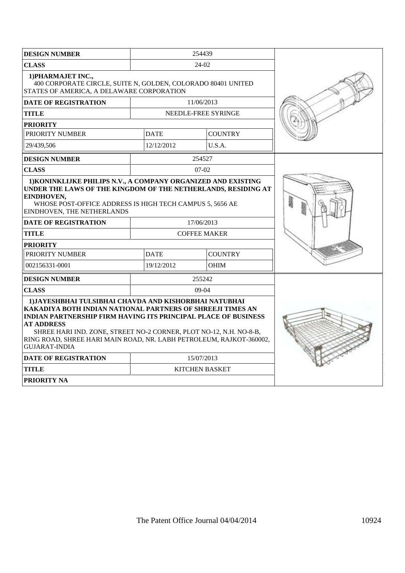| <b>DESIGN NUMBER</b>                                                                                                                                                                                                                                                                                                                                                                    |             | 254439                |  |
|-----------------------------------------------------------------------------------------------------------------------------------------------------------------------------------------------------------------------------------------------------------------------------------------------------------------------------------------------------------------------------------------|-------------|-----------------------|--|
| <b>CLASS</b>                                                                                                                                                                                                                                                                                                                                                                            |             | $24-02$               |  |
| 1) PHARMAJET INC.,<br>400 CORPORATE CIRCLE, SUITE N, GOLDEN, COLORADO 80401 UNITED<br>STATES OF AMERICA, A DELAWARE CORPORATION                                                                                                                                                                                                                                                         |             |                       |  |
| DATE OF REGISTRATION                                                                                                                                                                                                                                                                                                                                                                    |             | 11/06/2013            |  |
| TITLE                                                                                                                                                                                                                                                                                                                                                                                   |             | NEEDLE-FREE SYRINGE   |  |
| <b>PRIORITY</b>                                                                                                                                                                                                                                                                                                                                                                         |             |                       |  |
| PRIORITY NUMBER                                                                                                                                                                                                                                                                                                                                                                         | <b>DATE</b> | <b>COUNTRY</b>        |  |
| 29/439,506                                                                                                                                                                                                                                                                                                                                                                              | 12/12/2012  | U.S.A.                |  |
| <b>DESIGN NUMBER</b>                                                                                                                                                                                                                                                                                                                                                                    |             | 254527                |  |
| <b>CLASS</b>                                                                                                                                                                                                                                                                                                                                                                            |             | $07-02$               |  |
| 1) KONINKLIJKE PHILIPS N.V., A COMPANY ORGANIZED AND EXISTING<br>UNDER THE LAWS OF THE KINGDOM OF THE NETHERLANDS, RESIDING AT<br>EINDHOVEN,<br>WHOSE POST-OFFICE ADDRESS IS HIGH TECH CAMPUS 5, 5656 AE<br>EINDHOVEN, THE NETHERLANDS                                                                                                                                                  |             |                       |  |
| <b>DATE OF REGISTRATION</b>                                                                                                                                                                                                                                                                                                                                                             |             | 17/06/2013            |  |
| <b>TITLE</b>                                                                                                                                                                                                                                                                                                                                                                            |             | <b>COFFEE MAKER</b>   |  |
| <b>PRIORITY</b>                                                                                                                                                                                                                                                                                                                                                                         |             |                       |  |
| PRIORITY NUMBER                                                                                                                                                                                                                                                                                                                                                                         | <b>DATE</b> | <b>COUNTRY</b>        |  |
| 002156331-0001                                                                                                                                                                                                                                                                                                                                                                          | 19/12/2012  | <b>OHIM</b>           |  |
| <b>DESIGN NUMBER</b>                                                                                                                                                                                                                                                                                                                                                                    |             | 255242                |  |
| <b>CLASS</b>                                                                                                                                                                                                                                                                                                                                                                            |             | $09-04$               |  |
| 1) JAYESHBHAI TULSIBHAI CHAVDA AND KISHORBHAI NATUBHAI<br>KAKADIYA BOTH INDIAN NATIONAL PARTNERS OF SHREEJI TIMES AN<br><b>INDIAN PARTNERSHIP FIRM HAVING ITS PRINCIPAL PLACE OF BUSINESS</b><br><b>AT ADDRESS</b><br>SHREE HARI IND. ZONE, STREET NO-2 CORNER, PLOT NO-12, N.H. NO-8-B,<br>RING ROAD, SHREE HARI MAIN ROAD, NR. LABH PETROLEUM, RAJKOT-360002,<br><b>GUJARAT-INDIA</b> |             |                       |  |
| <b>DATE OF REGISTRATION</b>                                                                                                                                                                                                                                                                                                                                                             |             | 15/07/2013            |  |
| TITLE                                                                                                                                                                                                                                                                                                                                                                                   |             | <b>KITCHEN BASKET</b> |  |
| <b>PRIORITY NA</b>                                                                                                                                                                                                                                                                                                                                                                      |             |                       |  |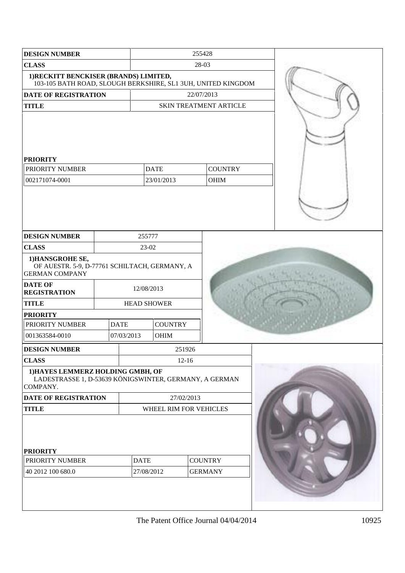| <b>DESIGN NUMBER</b>                                                                                       |             | 255428                           |                |                                                              |  |
|------------------------------------------------------------------------------------------------------------|-------------|----------------------------------|----------------|--------------------------------------------------------------|--|
| <b>CLASS</b>                                                                                               |             | 28-03                            |                |                                                              |  |
| 1) RECKITT BENCKISER (BRANDS) LIMITED,                                                                     |             |                                  |                | 103-105 BATH ROAD, SLOUGH BERKSHIRE, SL1 3UH, UNITED KINGDOM |  |
| <b>DATE OF REGISTRATION</b>                                                                                |             |                                  |                | 22/07/2013                                                   |  |
| <b>TITLE</b>                                                                                               |             |                                  |                | SKIN TREATMENT ARTICLE                                       |  |
| <b>PRIORITY</b><br>PRIORITY NUMBER                                                                         |             |                                  | <b>DATE</b>    | <b>COUNTRY</b>                                               |  |
| 002171074-0001                                                                                             |             |                                  | 23/01/2013     | OHIM                                                         |  |
|                                                                                                            |             |                                  |                |                                                              |  |
| <b>DESIGN NUMBER</b>                                                                                       |             | 255777                           |                |                                                              |  |
| <b>CLASS</b><br>1) HANSGROHE SE,<br>OF AUESTR. 5-9, D-77761 SCHILTACH, GERMANY, A<br><b>GERMAN COMPANY</b> |             | 23-02                            |                |                                                              |  |
| <b>DATE OF</b><br><b>REGISTRATION</b>                                                                      |             | 12/08/2013                       |                |                                                              |  |
| <b>TITLE</b>                                                                                               |             | <b>HEAD SHOWER</b>               |                |                                                              |  |
| <b>PRIORITY</b>                                                                                            |             |                                  |                |                                                              |  |
| PRIORITY NUMBER                                                                                            | <b>DATE</b> |                                  | <b>COUNTRY</b> |                                                              |  |
| 001363584-0010                                                                                             | 07/03/2013  |                                  | OHIM           |                                                              |  |
| <b>DESIGN NUMBER</b>                                                                                       |             |                                  | 251926         |                                                              |  |
| <b>CLASS</b>                                                                                               |             |                                  | $12-16$        |                                                              |  |
| 1) HAYES LEMMERZ HOLDING GMBH, OF<br>LADESTRASSE 1, D-53639 KÖNIGSWINTER, GERMANY, A GERMAN<br>COMPANY.    |             |                                  |                |                                                              |  |
| DATE OF REGISTRATION                                                                                       |             | 27/02/2013                       |                |                                                              |  |
| <b>TITLE</b>                                                                                               |             | WHEEL RIM FOR VEHICLES           |                |                                                              |  |
| <b>PRIORITY</b><br>PRIORITY NUMBER<br><b>DATE</b><br>40 2012 100 680.0<br>27/08/2012                       |             | <b>COUNTRY</b><br><b>GERMANY</b> |                |                                                              |  |
|                                                                                                            |             |                                  |                |                                                              |  |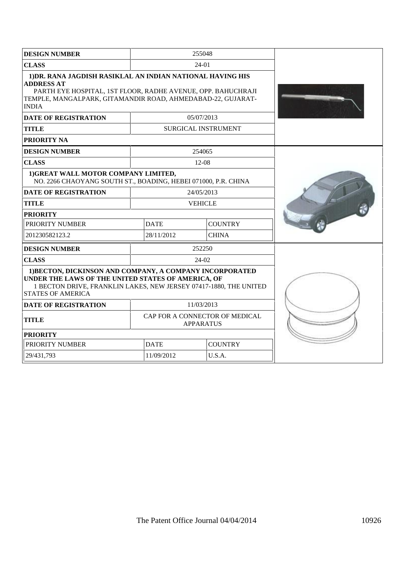| <b>DESIGN NUMBER</b>                                                                                                                                                                                                           |             | 255048                                             |  |
|--------------------------------------------------------------------------------------------------------------------------------------------------------------------------------------------------------------------------------|-------------|----------------------------------------------------|--|
| <b>CLASS</b>                                                                                                                                                                                                                   |             | $24-01$                                            |  |
| 1) DR. RANA JAGDISH RASIKLAL AN INDIAN NATIONAL HAVING HIS<br><b>ADDRESS AT</b><br>PARTH EYE HOSPITAL, 1ST FLOOR, RADHE AVENUE, OPP. BAHUCHRAJI<br>TEMPLE, MANGALPARK, GITAMANDIR ROAD, AHMEDABAD-22, GUJARAT-<br><b>INDIA</b> |             |                                                    |  |
| <b>DATE OF REGISTRATION</b>                                                                                                                                                                                                    |             | 05/07/2013                                         |  |
| <b>TITLE</b>                                                                                                                                                                                                                   |             | <b>SURGICAL INSTRUMENT</b>                         |  |
| <b>PRIORITY NA</b>                                                                                                                                                                                                             |             |                                                    |  |
| <b>DESIGN NUMBER</b>                                                                                                                                                                                                           |             | 254065                                             |  |
| <b>CLASS</b>                                                                                                                                                                                                                   |             | 12-08                                              |  |
| 1) GREAT WALL MOTOR COMPANY LIMITED,<br>NO. 2266 CHAOYANG SOUTH ST., BOADING, HEBEI 071000, P.R. CHINA                                                                                                                         |             |                                                    |  |
| <b>DATE OF REGISTRATION</b>                                                                                                                                                                                                    |             | 24/05/2013                                         |  |
| <b>TITLE</b>                                                                                                                                                                                                                   |             | <b>VEHICLE</b>                                     |  |
| <b>PRIORITY</b>                                                                                                                                                                                                                |             |                                                    |  |
| PRIORITY NUMBER                                                                                                                                                                                                                | <b>DATE</b> | <b>COUNTRY</b>                                     |  |
| 201230582123.2                                                                                                                                                                                                                 | 28/11/2012  | <b>CHINA</b>                                       |  |
| <b>DESIGN NUMBER</b>                                                                                                                                                                                                           |             | 252250                                             |  |
| <b>CLASS</b>                                                                                                                                                                                                                   |             | $24-02$                                            |  |
| 1) BECTON, DICKINSON AND COMPANY, A COMPANY INCORPORATED<br>UNDER THE LAWS OF THE UNITED STATES OF AMERICA, OF<br>1 BECTON DRIVE, FRANKLIN LAKES, NEW JERSEY 07417-1880, THE UNITED<br><b>STATES OF AMERICA</b>                |             |                                                    |  |
| <b>DATE OF REGISTRATION</b>                                                                                                                                                                                                    |             | 11/03/2013                                         |  |
| <b>TITLE</b>                                                                                                                                                                                                                   |             | CAP FOR A CONNECTOR OF MEDICAL<br><b>APPARATUS</b> |  |
| <b>PRIORITY</b>                                                                                                                                                                                                                |             |                                                    |  |
| PRIORITY NUMBER                                                                                                                                                                                                                | <b>DATE</b> | <b>COUNTRY</b>                                     |  |
| 29/431,793                                                                                                                                                                                                                     | 11/09/2012  | U.S.A.                                             |  |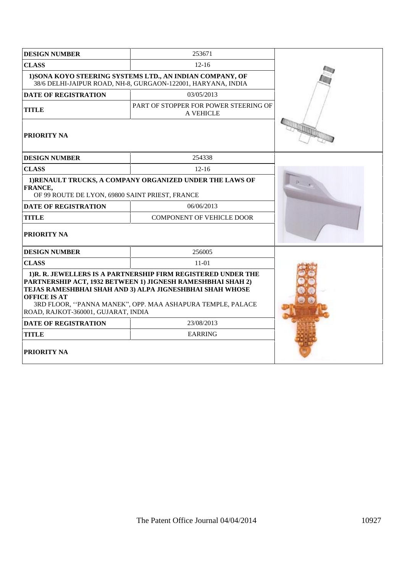| <b>DESIGN NUMBER</b>                                                                                                                                                                                                                                                                                                | 253671                                                    |  |  |
|---------------------------------------------------------------------------------------------------------------------------------------------------------------------------------------------------------------------------------------------------------------------------------------------------------------------|-----------------------------------------------------------|--|--|
| <b>CLASS</b>                                                                                                                                                                                                                                                                                                        |                                                           |  |  |
| 1) SONA KOYO STEERING SYSTEMS LTD., AN INDIAN COMPANY, OF<br>38/6 DELHI-JAIPUR ROAD, NH-8, GURGAON-122001, HARYANA, INDIA                                                                                                                                                                                           |                                                           |  |  |
| <b>DATE OF REGISTRATION</b>                                                                                                                                                                                                                                                                                         | 03/05/2013                                                |  |  |
| <b>TITLE</b>                                                                                                                                                                                                                                                                                                        | PART OF STOPPER FOR POWER STEERING OF<br><b>A VEHICLE</b> |  |  |
| <b>PRIORITY NA</b>                                                                                                                                                                                                                                                                                                  |                                                           |  |  |
| <b>DESIGN NUMBER</b>                                                                                                                                                                                                                                                                                                | 254338                                                    |  |  |
| <b>CLASS</b>                                                                                                                                                                                                                                                                                                        | $12 - 16$                                                 |  |  |
| FRANCE,<br>OF 99 ROUTE DE LYON, 69800 SAINT PRIEST, FRANCE                                                                                                                                                                                                                                                          | 1) RENAULT TRUCKS, A COMPANY ORGANIZED UNDER THE LAWS OF  |  |  |
| <b>DATE OF REGISTRATION</b>                                                                                                                                                                                                                                                                                         | 06/06/2013                                                |  |  |
| <b>TITLE</b>                                                                                                                                                                                                                                                                                                        | <b>COMPONENT OF VEHICLE DOOR</b>                          |  |  |
| <b>PRIORITY NA</b>                                                                                                                                                                                                                                                                                                  |                                                           |  |  |
| <b>DESIGN NUMBER</b>                                                                                                                                                                                                                                                                                                | 256005                                                    |  |  |
| <b>CLASS</b>                                                                                                                                                                                                                                                                                                        | $11-01$                                                   |  |  |
| 1)R. R. JEWELLERS IS A PARTNERSHIP FIRM REGISTERED UNDER THE<br>PARTNERSHIP ACT, 1932 BETWEEN 1) JIGNESH RAMESHBHAI SHAH 2)<br>TEJAS RAMESHBHAI SHAH AND 3) ALPA JIGNESHBHAI SHAH WHOSE<br><b>OFFICE IS AT</b><br>3RD FLOOR, "PANNA MANEK", OPP. MAA ASHAPURA TEMPLE, PALACE<br>ROAD, RAJKOT-360001, GUJARAT, INDIA |                                                           |  |  |
| <b>DATE OF REGISTRATION</b>                                                                                                                                                                                                                                                                                         | 23/08/2013                                                |  |  |
| <b>TITLE</b>                                                                                                                                                                                                                                                                                                        | <b>EARRING</b>                                            |  |  |
| <b>PRIORITY NA</b>                                                                                                                                                                                                                                                                                                  |                                                           |  |  |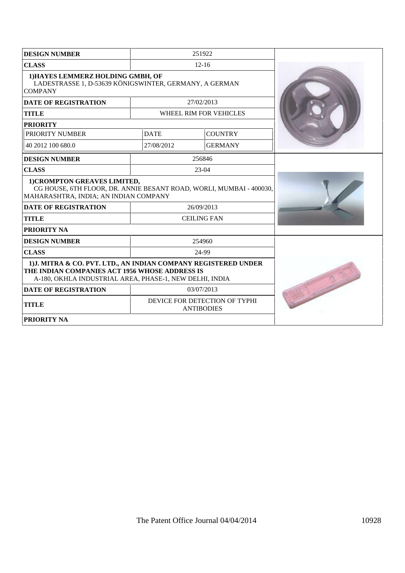| <b>DESIGN NUMBER</b>                                                                                                                                                         |             | 251922                                             |  |
|------------------------------------------------------------------------------------------------------------------------------------------------------------------------------|-------------|----------------------------------------------------|--|
| <b>CLASS</b>                                                                                                                                                                 |             | $12 - 16$                                          |  |
| 1) HAYES LEMMERZ HOLDING GMBH, OF<br>LADESTRASSE 1, D-53639 KÖNIGSWINTER, GERMANY, A GERMAN<br><b>COMPANY</b>                                                                |             |                                                    |  |
| <b>DATE OF REGISTRATION</b>                                                                                                                                                  |             | 27/02/2013                                         |  |
| <b>TITLE</b>                                                                                                                                                                 |             | WHEEL RIM FOR VEHICLES                             |  |
| <b>PRIORITY</b>                                                                                                                                                              |             |                                                    |  |
| PRIORITY NUMBER                                                                                                                                                              | <b>DATE</b> | <b>COUNTRY</b>                                     |  |
| 40 2012 100 680.0                                                                                                                                                            | 27/08/2012  | <b>GERMANY</b>                                     |  |
| <b>DESIGN NUMBER</b>                                                                                                                                                         |             | 256846                                             |  |
| <b>CLASS</b>                                                                                                                                                                 |             | $23-04$                                            |  |
| 1) CROMPTON GREAVES LIMITED,<br>CG HOUSE, 6TH FLOOR, DR. ANNIE BESANT ROAD, WORLI, MUMBAI - 400030,<br>MAHARASHTRA, INDIA; AN INDIAN COMPANY                                 |             |                                                    |  |
| <b>DATE OF REGISTRATION</b>                                                                                                                                                  |             | 26/09/2013                                         |  |
| <b>TITLE</b>                                                                                                                                                                 |             | <b>CEILING FAN</b>                                 |  |
| <b>PRIORITY NA</b>                                                                                                                                                           |             |                                                    |  |
| <b>DESIGN NUMBER</b>                                                                                                                                                         |             | 254960                                             |  |
| <b>CLASS</b>                                                                                                                                                                 |             | 24-99                                              |  |
| 1) J. MITRA & CO. PVT. LTD., AN INDIAN COMPANY REGISTERED UNDER<br>THE INDIAN COMPANIES ACT 1956 WHOSE ADDRESS IS<br>A-180, OKHLA INDUSTRIAL AREA, PHASE-1, NEW DELHI, INDIA |             |                                                    |  |
| <b>DATE OF REGISTRATION</b>                                                                                                                                                  |             | 03/07/2013                                         |  |
| <b>TITLE</b>                                                                                                                                                                 |             | DEVICE FOR DETECTION OF TYPHI<br><b>ANTIBODIES</b> |  |
| <b>PRIORITY NA</b>                                                                                                                                                           |             |                                                    |  |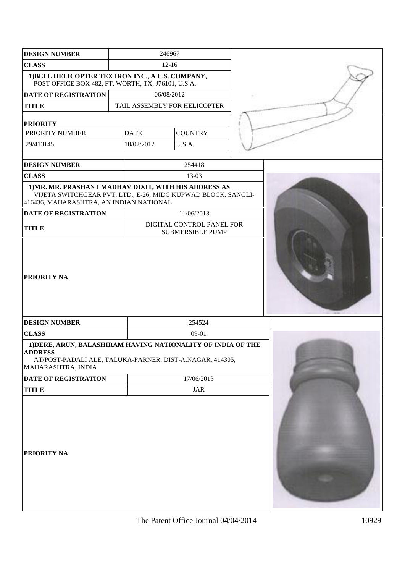| <b>DESIGN NUMBER</b>                                                                                                                                               |           | 246967      |            |                                                      |  |
|--------------------------------------------------------------------------------------------------------------------------------------------------------------------|-----------|-------------|------------|------------------------------------------------------|--|
| <b>CLASS</b>                                                                                                                                                       | $12 - 16$ |             |            |                                                      |  |
| 1) BELL HELICOPTER TEXTRON INC., A U.S. COMPANY,<br>POST OFFICE BOX 482, FT. WORTH, TX, J76101, U.S.A.                                                             |           |             |            |                                                      |  |
| <b>DATE OF REGISTRATION</b>                                                                                                                                        |           |             | 06/08/2012 |                                                      |  |
| <b>TITLE</b>                                                                                                                                                       |           |             |            | TAIL ASSEMBLY FOR HELICOPTER                         |  |
| <b>PRIORITY</b>                                                                                                                                                    |           |             |            |                                                      |  |
| PRIORITY NUMBER                                                                                                                                                    |           | <b>DATE</b> |            | <b>COUNTRY</b>                                       |  |
| 29/413145                                                                                                                                                          |           | 10/02/2012  |            | U.S.A.                                               |  |
|                                                                                                                                                                    |           |             |            |                                                      |  |
| <b>DESIGN NUMBER</b>                                                                                                                                               |           |             |            | 254418                                               |  |
| <b>CLASS</b>                                                                                                                                                       |           |             |            | 13-03                                                |  |
| 1) MR. MR. PRASHANT MADHAV DIXIT, WITH HIS ADDRESS AS<br>VIJETA SWITCHGEAR PVT. LTD., E-26, MIDC KUPWAD BLOCK, SANGLI-<br>416436, MAHARASHTRA, AN INDIAN NATIONAL. |           |             |            |                                                      |  |
| <b>DATE OF REGISTRATION</b>                                                                                                                                        |           |             |            | 11/06/2013                                           |  |
| <b>TITLE</b>                                                                                                                                                       |           |             |            | DIGITAL CONTROL PANEL FOR<br><b>SUBMERSIBLE PUMP</b> |  |
| <b>PRIORITY NA</b>                                                                                                                                                 |           |             |            |                                                      |  |
| <b>DESIGN NUMBER</b>                                                                                                                                               |           |             |            | 254524                                               |  |
| <b>CLASS</b>                                                                                                                                                       |           | 09-01       |            |                                                      |  |
| 1) DERE, ARUN, BALASHIRAM HAVING NATIONALITY OF INDIA OF THE<br>ADDRESS<br>AT/POST-PADALI ALE, TALUKA-PARNER, DIST-A.NAGAR, 414305,<br>MAHARASHTRA, INDIA          |           |             |            |                                                      |  |
| DATE OF REGISTRATION                                                                                                                                               |           |             |            | 17/06/2013                                           |  |
| <b>TITLE</b>                                                                                                                                                       |           | JAR         |            |                                                      |  |
| <b>PRIORITY NA</b>                                                                                                                                                 |           |             |            |                                                      |  |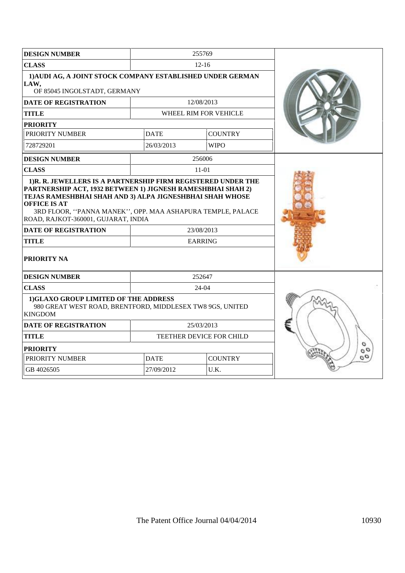| <b>DESIGN NUMBER</b>                                                                                                                                                                                                                                |             | 255769                   |               |  |  |  |
|-----------------------------------------------------------------------------------------------------------------------------------------------------------------------------------------------------------------------------------------------------|-------------|--------------------------|---------------|--|--|--|
| <b>CLASS</b>                                                                                                                                                                                                                                        |             | $12 - 16$                |               |  |  |  |
| 1) AUDI AG, A JOINT STOCK COMPANY ESTABLISHED UNDER GERMAN<br>LAW,<br>OF 85045 INGOLSTADT, GERMANY                                                                                                                                                  |             |                          |               |  |  |  |
| <b>DATE OF REGISTRATION</b>                                                                                                                                                                                                                         |             | 12/08/2013               |               |  |  |  |
| <b>TITLE</b>                                                                                                                                                                                                                                        |             | WHEEL RIM FOR VEHICLE    |               |  |  |  |
| <b>PRIORITY</b>                                                                                                                                                                                                                                     |             |                          |               |  |  |  |
| PRIORITY NUMBER                                                                                                                                                                                                                                     | <b>DATE</b> | <b>COUNTRY</b>           |               |  |  |  |
| 728729201                                                                                                                                                                                                                                           | 26/03/2013  | <b>WIPO</b>              |               |  |  |  |
| <b>DESIGN NUMBER</b>                                                                                                                                                                                                                                |             | 256006                   |               |  |  |  |
| <b>CLASS</b>                                                                                                                                                                                                                                        |             | $11-01$                  |               |  |  |  |
| PARTNERSHIP ACT, 1932 BETWEEN 1) JIGNESH RAMESHBHAI SHAH 2)<br>TEJAS RAMESHBHAI SHAH AND 3) ALPA JIGNESHBHAI SHAH WHOSE<br><b>OFFICE IS AT</b><br>3RD FLOOR, "PANNA MANEK", OPP. MAA ASHAPURA TEMPLE, PALACE<br>ROAD, RAJKOT-360001, GUJARAT, INDIA |             |                          |               |  |  |  |
| <b>DATE OF REGISTRATION</b>                                                                                                                                                                                                                         |             | 23/08/2013               |               |  |  |  |
| <b>TITLE</b>                                                                                                                                                                                                                                        |             | <b>EARRING</b>           |               |  |  |  |
| <b>PRIORITY NA</b>                                                                                                                                                                                                                                  |             |                          |               |  |  |  |
| <b>DESIGN NUMBER</b>                                                                                                                                                                                                                                |             | 252647                   |               |  |  |  |
| <b>CLASS</b>                                                                                                                                                                                                                                        |             | $24-04$                  |               |  |  |  |
| 1)GLAXO GROUP LIMITED OF THE ADDRESS<br>980 GREAT WEST ROAD, BRENTFORD, MIDDLESEX TW8 9GS, UNITED<br><b>KINGDOM</b>                                                                                                                                 |             |                          |               |  |  |  |
| <b>DATE OF REGISTRATION</b>                                                                                                                                                                                                                         |             | 25/03/2013               |               |  |  |  |
| <b>TITLE</b>                                                                                                                                                                                                                                        |             | TEETHER DEVICE FOR CHILD |               |  |  |  |
| <b>PRIORITY</b>                                                                                                                                                                                                                                     |             |                          | o<br>$\sigma$ |  |  |  |
| PRIORITY NUMBER                                                                                                                                                                                                                                     | <b>DATE</b> | <b>COUNTRY</b>           | $\sigma$      |  |  |  |
| GB 4026505                                                                                                                                                                                                                                          | 27/09/2012  | U.K.                     |               |  |  |  |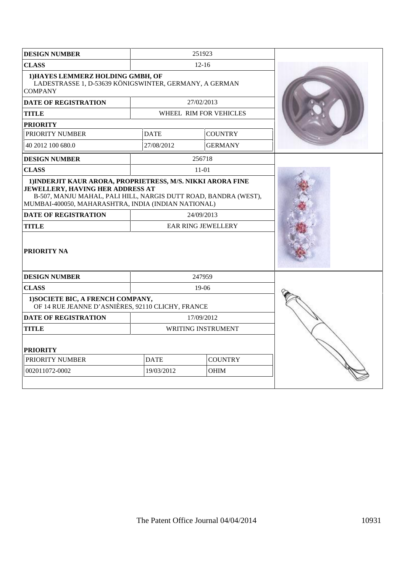| <b>DESIGN NUMBER</b>                                                                                                                                                                      |                               | 251923                                  |  |
|-------------------------------------------------------------------------------------------------------------------------------------------------------------------------------------------|-------------------------------|-----------------------------------------|--|
| <b>CLASS</b>                                                                                                                                                                              |                               | $12 - 16$                               |  |
| 1) HAYES LEMMERZ HOLDING GMBH, OF<br>LADESTRASSE 1, D-53639 KÖNIGSWINTER, GERMANY, A GERMAN<br><b>COMPANY</b>                                                                             |                               |                                         |  |
| <b>DATE OF REGISTRATION</b>                                                                                                                                                               |                               | 27/02/2013                              |  |
| <b>TITLE</b>                                                                                                                                                                              |                               | WHEEL RIM FOR VEHICLES                  |  |
| <b>PRIORITY</b>                                                                                                                                                                           |                               |                                         |  |
| PRIORITY NUMBER                                                                                                                                                                           | <b>DATE</b>                   | <b>COUNTRY</b>                          |  |
| 40 2012 100 680.0                                                                                                                                                                         | 27/08/2012                    | <b>GERMANY</b>                          |  |
| <b>DESIGN NUMBER</b>                                                                                                                                                                      |                               | 256718                                  |  |
| <b>CLASS</b>                                                                                                                                                                              |                               | $11-01$                                 |  |
| JEWELLERY, HAVING HER ADDRESS AT<br>B-507, MANJU MAHAL, PALI HILL, NARGIS DUTT ROAD, BANDRA (WEST),<br>MUMBAI-400050, MAHARASHTRA, INDIA (INDIAN NATIONAL)<br><b>DATE OF REGISTRATION</b> |                               |                                         |  |
| <b>TITLE</b>                                                                                                                                                                              |                               | 24/09/2013<br><b>EAR RING JEWELLERY</b> |  |
| <b>PRIORITY NA</b>                                                                                                                                                                        |                               |                                         |  |
| <b>DESIGN NUMBER</b>                                                                                                                                                                      |                               | 247959                                  |  |
| <b>CLASS</b>                                                                                                                                                                              |                               | 19-06                                   |  |
| 1) SOCIETE BIC, A FRENCH COMPANY,<br>OF 14 RUE JEANNE D'ASNIÈRES, 92110 CLICHY, FRANCE                                                                                                    |                               |                                         |  |
| <b>DATE OF REGISTRATION</b>                                                                                                                                                               |                               | 17/09/2012                              |  |
| TITLE                                                                                                                                                                                     |                               | <b>WRITING INSTRUMENT</b>               |  |
| <b>PRIORITY</b>                                                                                                                                                                           |                               |                                         |  |
| PRIORITY NUMBER                                                                                                                                                                           | <b>COUNTRY</b><br><b>DATE</b> |                                         |  |
| 002011072-0002                                                                                                                                                                            | 19/03/2012                    |                                         |  |
|                                                                                                                                                                                           |                               |                                         |  |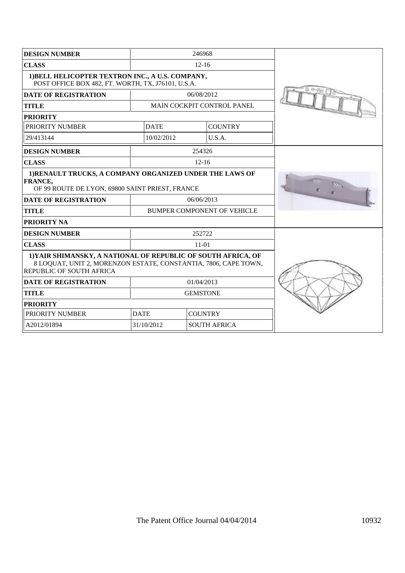| <b>DESIGN NUMBER</b>                                                                                                                                         | 246968                            |                |                             |  |
|--------------------------------------------------------------------------------------------------------------------------------------------------------------|-----------------------------------|----------------|-----------------------------|--|
| <b>CLASS</b>                                                                                                                                                 |                                   | $12 - 16$      |                             |  |
| 1) BELL HELICOPTER TEXTRON INC., A U.S. COMPANY,<br>POST OFFICE BOX 482, FT. WORTH, TX, J76101, U.S.A.                                                       |                                   |                |                             |  |
| <b>DATE OF REGISTRATION</b>                                                                                                                                  |                                   | 06/08/2012     |                             |  |
| <b>TITLE</b>                                                                                                                                                 |                                   |                | MAIN COCKPIT CONTROL PANEL  |  |
| <b>PRIORITY</b>                                                                                                                                              |                                   |                |                             |  |
| PRIORITY NUMBER                                                                                                                                              | <b>DATE</b>                       |                | <b>COUNTRY</b>              |  |
| 29/413144                                                                                                                                                    | 10/02/2012                        |                | U.S.A.                      |  |
| <b>DESIGN NUMBER</b>                                                                                                                                         |                                   | 254326         |                             |  |
| <b>CLASS</b>                                                                                                                                                 |                                   | $12 - 16$      |                             |  |
| 1) RENAULT TRUCKS, A COMPANY ORGANIZED UNDER THE LAWS OF<br><b>FRANCE,</b><br>OF 99 ROUTE DE LYON, 69800 SAINT PRIEST, FRANCE                                |                                   |                |                             |  |
| <b>DATE OF REGISTRATION</b>                                                                                                                                  | 06/06/2013                        |                |                             |  |
| <b>TITLE</b>                                                                                                                                                 |                                   |                | BUMPER COMPONENT OF VEHICLE |  |
| <b>PRIORITY NA</b>                                                                                                                                           |                                   |                |                             |  |
| <b>DESIGN NUMBER</b>                                                                                                                                         | 252722                            |                |                             |  |
| <b>CLASS</b>                                                                                                                                                 |                                   | $11-01$        |                             |  |
| 1) YAIR SHIMANSKY, A NATIONAL OF REPUBLIC OF SOUTH AFRICA, OF<br>8 LOQUAT, UNIT 2, MORENZON ESTATE, CONSTANTIA, 7806, CAPE TOWN,<br>REPUBLIC OF SOUTH AFRICA |                                   |                |                             |  |
| <b>DATE OF REGISTRATION</b>                                                                                                                                  | 01/04/2013                        |                |                             |  |
| <b>TITLE</b>                                                                                                                                                 | <b>GEMSTONE</b>                   |                |                             |  |
| <b>PRIORITY</b>                                                                                                                                              |                                   |                |                             |  |
| PRIORITY NUMBER                                                                                                                                              | <b>DATE</b>                       | <b>COUNTRY</b> |                             |  |
| A2012/01894                                                                                                                                                  | 31/10/2012<br><b>SOUTH AFRICA</b> |                |                             |  |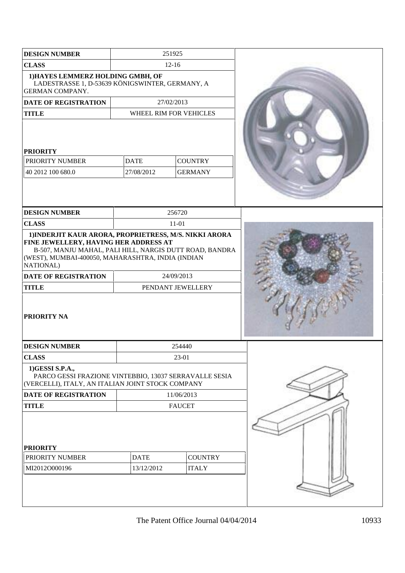| <b>DESIGN NUMBER</b>                                                                                                                                                                                                         |                                                               | 251925                 |  |
|------------------------------------------------------------------------------------------------------------------------------------------------------------------------------------------------------------------------------|---------------------------------------------------------------|------------------------|--|
| <b>CLASS</b>                                                                                                                                                                                                                 |                                                               | $12 - 16$              |  |
| 1) HAYES LEMMERZ HOLDING GMBH, OF<br>LADESTRASSE 1, D-53639 KÖNIGSWINTER, GERMANY, A<br><b>GERMAN COMPANY.</b>                                                                                                               |                                                               |                        |  |
| <b>DATE OF REGISTRATION</b>                                                                                                                                                                                                  |                                                               | 27/02/2013             |  |
| <b>TITLE</b>                                                                                                                                                                                                                 |                                                               | WHEEL RIM FOR VEHICLES |  |
| <b>PRIORITY</b><br>PRIORITY NUMBER<br>40 2012 100 680.0                                                                                                                                                                      | <b>DATE</b><br><b>COUNTRY</b><br>27/08/2012<br><b>GERMANY</b> |                        |  |
| <b>DESIGN NUMBER</b>                                                                                                                                                                                                         |                                                               | 256720                 |  |
| <b>CLASS</b>                                                                                                                                                                                                                 |                                                               | $11 - 01$              |  |
| 1) INDERJIT KAUR ARORA, PROPRIETRESS, M/S. NIKKI ARORA<br>FINE JEWELLERY, HAVING HER ADDRESS AT<br>B-507, MANJU MAHAL, PALI HILL, NARGIS DUTT ROAD, BANDRA<br>(WEST), MUMBAI-400050, MAHARASHTRA, INDIA (INDIAN<br>NATIONAL) |                                                               |                        |  |
| <b>DATE OF REGISTRATION</b>                                                                                                                                                                                                  |                                                               | 24/09/2013             |  |
| <b>TITLE</b>                                                                                                                                                                                                                 |                                                               | PENDANT JEWELLERY      |  |
| <b>PRIORITY NA</b>                                                                                                                                                                                                           |                                                               |                        |  |
| <b>DESIGN NUMBER</b>                                                                                                                                                                                                         | 254440                                                        |                        |  |
| <b>CLASS</b>                                                                                                                                                                                                                 | 23-01                                                         |                        |  |
| 1)GESSI S.P.A.,<br>PARCO GESSI FRAZIONE VINTEBBIO, 13037 SERRAVALLE SESIA<br>(VERCELLI), ITALY, AN ITALIAN JOINT STOCK COMPANY                                                                                               |                                                               |                        |  |
| DATE OF REGISTRATION                                                                                                                                                                                                         |                                                               | 11/06/2013             |  |
| <b>TITLE</b>                                                                                                                                                                                                                 | <b>FAUCET</b>                                                 |                        |  |
| <b>PRIORITY</b>                                                                                                                                                                                                              |                                                               |                        |  |
| PRIORITY NUMBER                                                                                                                                                                                                              | <b>DATE</b>                                                   | <b>COUNTRY</b>         |  |
| MI2012O000196                                                                                                                                                                                                                | 13/12/2012                                                    | <b>ITALY</b>           |  |
|                                                                                                                                                                                                                              |                                                               |                        |  |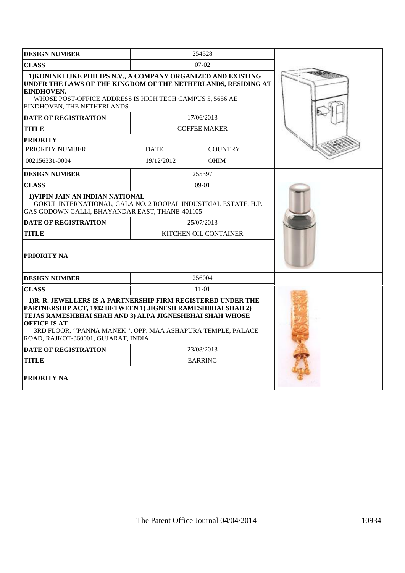| <b>DESIGN NUMBER</b>                                                                                                                                                                                                                                                                                                |             | 254528                       |  |
|---------------------------------------------------------------------------------------------------------------------------------------------------------------------------------------------------------------------------------------------------------------------------------------------------------------------|-------------|------------------------------|--|
| <b>CLASS</b>                                                                                                                                                                                                                                                                                                        |             | $07-02$                      |  |
| 1) KONINKLIJKE PHILIPS N.V., A COMPANY ORGANIZED AND EXISTING<br>UNDER THE LAWS OF THE KINGDOM OF THE NETHERLANDS, RESIDING AT<br>EINDHOVEN,<br>WHOSE POST-OFFICE ADDRESS IS HIGH TECH CAMPUS 5, 5656 AE<br>EINDHOVEN, THE NETHERLANDS                                                                              |             |                              |  |
| <b>DATE OF REGISTRATION</b>                                                                                                                                                                                                                                                                                         |             | 17/06/2013                   |  |
| <b>TITLE</b>                                                                                                                                                                                                                                                                                                        |             | <b>COFFEE MAKER</b>          |  |
| <b>PRIORITY</b>                                                                                                                                                                                                                                                                                                     |             |                              |  |
| PRIORITY NUMBER                                                                                                                                                                                                                                                                                                     | <b>DATE</b> | <b>COUNTRY</b>               |  |
| 002156331-0004                                                                                                                                                                                                                                                                                                      | 19/12/2012  | <b>OHIM</b>                  |  |
| <b>DESIGN NUMBER</b>                                                                                                                                                                                                                                                                                                |             | 255397                       |  |
| <b>CLASS</b>                                                                                                                                                                                                                                                                                                        |             | $09-01$                      |  |
| 1) VIPIN JAIN AN INDIAN NATIONAL<br>GOKUL INTERNATIONAL, GALA NO. 2 ROOPAL INDUSTRIAL ESTATE, H.P.<br>GAS GODOWN GALLI, BHAYANDAR EAST, THANE-401105                                                                                                                                                                |             |                              |  |
| <b>DATE OF REGISTRATION</b>                                                                                                                                                                                                                                                                                         |             | 25/07/2013                   |  |
| <b>TITLE</b>                                                                                                                                                                                                                                                                                                        |             | <b>KITCHEN OIL CONTAINER</b> |  |
| <b>PRIORITY NA</b>                                                                                                                                                                                                                                                                                                  |             |                              |  |
| <b>DESIGN NUMBER</b>                                                                                                                                                                                                                                                                                                |             | 256004                       |  |
| <b>CLASS</b>                                                                                                                                                                                                                                                                                                        |             | $11 - 01$                    |  |
| 1)R. R. JEWELLERS IS A PARTNERSHIP FIRM REGISTERED UNDER THE<br>PARTNERSHIP ACT, 1932 BETWEEN 1) JIGNESH RAMESHBHAI SHAH 2)<br>TEJAS RAMESHBHAI SHAH AND 3) ALPA JIGNESHBHAI SHAH WHOSE<br><b>OFFICE IS AT</b><br>3RD FLOOR, "PANNA MANEK", OPP. MAA ASHAPURA TEMPLE, PALACE<br>ROAD, RAJKOT-360001, GUJARAT, INDIA |             |                              |  |
| <b>DATE OF REGISTRATION</b>                                                                                                                                                                                                                                                                                         |             | 23/08/2013                   |  |
| <b>TITLE</b>                                                                                                                                                                                                                                                                                                        |             | <b>EARRING</b>               |  |
| PRIORITY NA                                                                                                                                                                                                                                                                                                         |             |                              |  |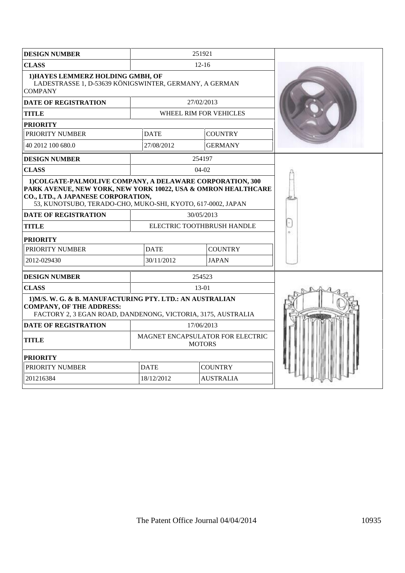| <b>CLASS</b><br>$12 - 16$<br>1) HAYES LEMMERZ HOLDING GMBH, OF<br>LADESTRASSE 1, D-53639 KÖNIGSWINTER, GERMANY, A GERMAN<br><b>COMPANY</b>                                                                                      |  |
|---------------------------------------------------------------------------------------------------------------------------------------------------------------------------------------------------------------------------------|--|
|                                                                                                                                                                                                                                 |  |
|                                                                                                                                                                                                                                 |  |
| <b>DATE OF REGISTRATION</b><br>27/02/2013                                                                                                                                                                                       |  |
| <b>TITLE</b><br>WHEEL RIM FOR VEHICLES                                                                                                                                                                                          |  |
| <b>PRIORITY</b>                                                                                                                                                                                                                 |  |
| PRIORITY NUMBER<br><b>DATE</b><br><b>COUNTRY</b>                                                                                                                                                                                |  |
| 27/08/2012<br><b>GERMANY</b><br>40 2012 100 680.0                                                                                                                                                                               |  |
| 254197<br><b>DESIGN NUMBER</b>                                                                                                                                                                                                  |  |
| <b>CLASS</b><br>$04-02$                                                                                                                                                                                                         |  |
| 1) COLGATE-PALMOLIVE COMPANY, A DELAWARE CORPORATION, 300<br>PARK AVENUE, NEW YORK, NEW YORK 10022, USA & OMRON HEALTHCARE<br>CO., LTD., A JAPANESE CORPORATION,<br>53, KUNOTSUBO, TERADO-CHO, MUKO-SHI, KYOTO, 617-0002, JAPAN |  |
| <b>DATE OF REGISTRATION</b><br>30/05/2013                                                                                                                                                                                       |  |
| <b>TITLE</b><br>ELECTRIC TOOTHBRUSH HANDLE                                                                                                                                                                                      |  |
| <b>PRIORITY</b>                                                                                                                                                                                                                 |  |
| PRIORITY NUMBER<br><b>DATE</b><br><b>COUNTRY</b>                                                                                                                                                                                |  |
| <b>JAPAN</b><br>2012-029430<br>30/11/2012                                                                                                                                                                                       |  |
| 254523<br><b>DESIGN NUMBER</b>                                                                                                                                                                                                  |  |
| <b>CLASS</b><br>$13-01$                                                                                                                                                                                                         |  |
| 1) M/S. W. G. & B. MANUFACTURING PTY. LTD.: AN AUSTRALIAN<br><b>COMPANY, OF THE ADDRESS:</b><br>FACTORY 2, 3 EGAN ROAD, DANDENONG, VICTORIA, 3175, AUSTRALIA                                                                    |  |
| <b>DATE OF REGISTRATION</b><br>17/06/2013                                                                                                                                                                                       |  |
| MAGNET ENCAPSULATOR FOR ELECTRIC<br>TITLE<br><b>MOTORS</b>                                                                                                                                                                      |  |
| <b>PRIORITY</b>                                                                                                                                                                                                                 |  |
| <b>DATE</b><br>PRIORITY NUMBER<br><b>COUNTRY</b>                                                                                                                                                                                |  |
| 201216384<br>18/12/2012<br><b>AUSTRALIA</b>                                                                                                                                                                                     |  |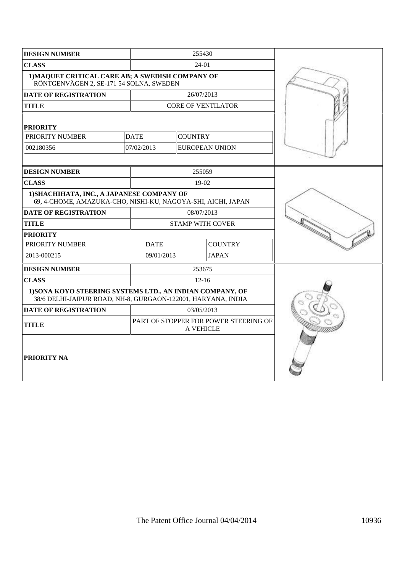| <b>DESIGN NUMBER</b>                                                                                                      |             | 255430                     |                           |  |
|---------------------------------------------------------------------------------------------------------------------------|-------------|----------------------------|---------------------------|--|
| <b>CLASS</b>                                                                                                              | 24-01       |                            |                           |  |
| 1) MAQUET CRITICAL CARE AB; A SWEDISH COMPANY OF<br>RÖNTGENVÄGEN 2, SE-171 54 SOLNA, SWEDEN                               |             |                            |                           |  |
| DATE OF REGISTRATION                                                                                                      |             | 26/07/2013                 |                           |  |
| <b>TITLE</b>                                                                                                              |             |                            | <b>CORE OF VENTILATOR</b> |  |
| <b>PRIORITY</b>                                                                                                           |             |                            |                           |  |
| PRIORITY NUMBER                                                                                                           | <b>DATE</b> | <b>COUNTRY</b>             |                           |  |
| 002180356                                                                                                                 | 07/02/2013  |                            | <b>EUROPEAN UNION</b>     |  |
|                                                                                                                           |             |                            |                           |  |
| <b>DESIGN NUMBER</b>                                                                                                      |             | 255059                     |                           |  |
| <b>CLASS</b>                                                                                                              | $19-02$     |                            |                           |  |
| 1) SHACHIHATA, INC., A JAPANESE COMPANY OF<br>69, 4-CHOME, AMAZUKA-CHO, NISHI-KU, NAGOYA-SHI, AICHI, JAPAN                |             |                            |                           |  |
| <b>DATE OF REGISTRATION</b>                                                                                               | 08/07/2013  |                            |                           |  |
| <b>TITLE</b>                                                                                                              |             | <b>STAMP WITH COVER</b>    |                           |  |
| <b>PRIORITY</b>                                                                                                           |             |                            |                           |  |
| PRIORITY NUMBER                                                                                                           | <b>DATE</b> |                            | <b>COUNTRY</b>            |  |
| 2013-000215                                                                                                               |             | 09/01/2013<br><b>JAPAN</b> |                           |  |
| <b>DESIGN NUMBER</b>                                                                                                      | 253675      |                            |                           |  |
| <b>CLASS</b>                                                                                                              | $12 - 16$   |                            |                           |  |
| 1) SONA KOYO STEERING SYSTEMS LTD., AN INDIAN COMPANY, OF<br>38/6 DELHI-JAIPUR ROAD, NH-8, GURGAON-122001, HARYANA, INDIA |             |                            |                           |  |
| <b>DATE OF REGISTRATION</b><br>03/05/2013                                                                                 |             |                            |                           |  |
| PART OF STOPPER FOR POWER STEERING OF<br><b>TITLE</b><br><b>A VEHICLE</b>                                                 |             |                            |                           |  |
| PRIORITY NA                                                                                                               |             |                            |                           |  |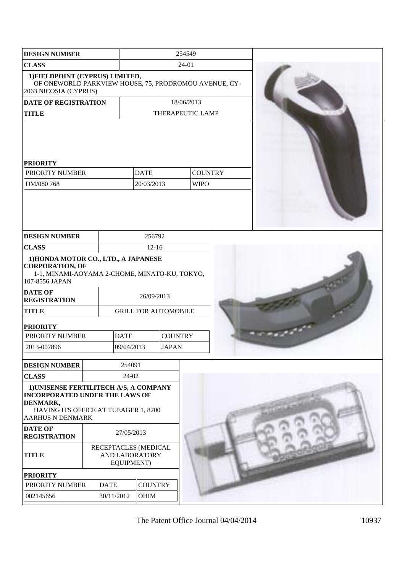| <b>DESIGN NUMBER</b>                                                                                                                                    |             |             | 254549                                                                                                                                                                             |  |                               |  |
|---------------------------------------------------------------------------------------------------------------------------------------------------------|-------------|-------------|------------------------------------------------------------------------------------------------------------------------------------------------------------------------------------|--|-------------------------------|--|
| <b>CLASS</b>                                                                                                                                            |             |             | 24-01                                                                                                                                                                              |  |                               |  |
| 1) FIELDPOINT (CYPRUS) LIMITED,<br>OF ONEWORLD PARKVIEW HOUSE, 75, PRODROMOU AVENUE, CY-<br>2063 NICOSIA (CYPRUS)                                       |             |             |                                                                                                                                                                                    |  |                               |  |
| DATE OF REGISTRATION                                                                                                                                    |             |             |                                                                                                                                                                                    |  | 18/06/2013                    |  |
| <b>TITLE</b>                                                                                                                                            |             |             |                                                                                                                                                                                    |  | THERAPEUTIC LAMP              |  |
| <b>PRIORITY</b><br>PRIORITY NUMBER<br>DM/080 768                                                                                                        |             |             | <b>DATE</b><br>20/03/2013                                                                                                                                                          |  | <b>COUNTRY</b><br><b>WIPO</b> |  |
| <b>DESIGN NUMBER</b>                                                                                                                                    |             |             | 256792                                                                                                                                                                             |  |                               |  |
| <b>CLASS</b>                                                                                                                                            |             |             | $12 - 16$                                                                                                                                                                          |  |                               |  |
| <b>CORPORATION, OF</b><br>107-8556 JAPAN<br><b>DATE OF</b><br><b>REGISTRATION</b><br><b>TITLE</b><br><b>PRIORITY</b><br>PRIORITY NUMBER<br>2013-007896  |             | <b>DATE</b> | 1) HONDA MOTOR CO., LTD., A JAPANESE<br>1-1, MINAMI-AOYAMA 2-CHOME, MINATO-KU, TOKYO,<br>26/09/2013<br><b>GRILL FOR AUTOMOBILE</b><br><b>COUNTRY</b><br>09/04/2013<br><b>JAPAN</b> |  |                               |  |
| <b>DESIGN NUMBER</b>                                                                                                                                    |             | 254091      |                                                                                                                                                                                    |  |                               |  |
| <b>CLASS</b>                                                                                                                                            |             | 24-02       |                                                                                                                                                                                    |  |                               |  |
| 1) UNISENSE FERTILITECH A/S, A COMPANY<br><b>INCORPORATED UNDER THE LAWS OF</b><br>DENMARK,<br>HAVING ITS OFFICE AT TUEAGER 1, 8200<br>AARHUS N DENMARK |             |             |                                                                                                                                                                                    |  |                               |  |
| <b>DATE OF</b><br><b>REGISTRATION</b>                                                                                                                   |             | 27/05/2013  | RECEPTACLES (MEDICAL                                                                                                                                                               |  |                               |  |
| <b>TITLE</b>                                                                                                                                            |             | EQUIPMENT)  | AND LABORATORY                                                                                                                                                                     |  |                               |  |
| <b>PRIORITY</b><br>PRIORITY NUMBER                                                                                                                      | <b>DATE</b> |             | <b>COUNTRY</b>                                                                                                                                                                     |  |                               |  |
| 002145656                                                                                                                                               |             | 30/11/2012  | OHIM                                                                                                                                                                               |  |                               |  |
|                                                                                                                                                         |             |             |                                                                                                                                                                                    |  |                               |  |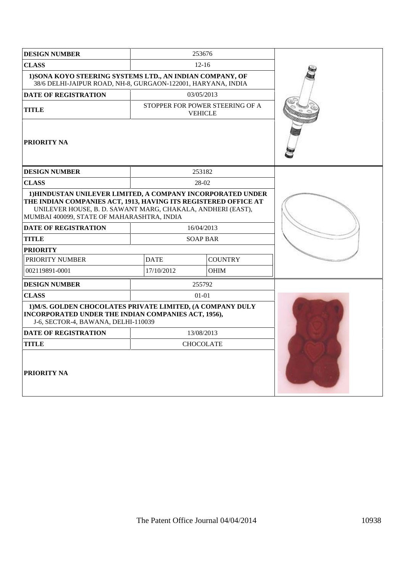| <b>DESIGN NUMBER</b>                                                                                                                                                                                                                                                       |             | 253676                                            |  |
|----------------------------------------------------------------------------------------------------------------------------------------------------------------------------------------------------------------------------------------------------------------------------|-------------|---------------------------------------------------|--|
| <b>CLASS</b>                                                                                                                                                                                                                                                               |             | $12 - 16$                                         |  |
| 1) SONA KOYO STEERING SYSTEMS LTD., AN INDIAN COMPANY, OF<br>38/6 DELHI-JAIPUR ROAD, NH-8, GURGAON-122001, HARYANA, INDIA                                                                                                                                                  |             |                                                   |  |
| <b>DATE OF REGISTRATION</b>                                                                                                                                                                                                                                                |             | 03/05/2013                                        |  |
| <b>TITLE</b>                                                                                                                                                                                                                                                               |             | STOPPER FOR POWER STEERING OF A<br><b>VEHICLE</b> |  |
| <b>PRIORITY NA</b>                                                                                                                                                                                                                                                         |             |                                                   |  |
| <b>DESIGN NUMBER</b>                                                                                                                                                                                                                                                       |             | 253182                                            |  |
| <b>CLASS</b>                                                                                                                                                                                                                                                               |             | 28-02                                             |  |
| 1) HINDUSTAN UNILEVER LIMITED, A COMPANY INCORPORATED UNDER<br>THE INDIAN COMPANIES ACT, 1913, HAVING ITS REGISTERED OFFICE AT<br>UNILEVER HOUSE, B. D. SAWANT MARG, CHAKALA, ANDHERI (EAST),<br>MUMBAI 400099, STATE OF MAHARASHTRA, INDIA<br><b>DATE OF REGISTRATION</b> |             | 16/04/2013                                        |  |
| <b>TITLE</b>                                                                                                                                                                                                                                                               |             | <b>SOAP BAR</b>                                   |  |
| <b>PRIORITY</b>                                                                                                                                                                                                                                                            |             |                                                   |  |
| PRIORITY NUMBER                                                                                                                                                                                                                                                            | <b>DATE</b> | <b>COUNTRY</b>                                    |  |
| 002119891-0001                                                                                                                                                                                                                                                             | 17/10/2012  | <b>OHIM</b>                                       |  |
| <b>DESIGN NUMBER</b>                                                                                                                                                                                                                                                       |             | 255792                                            |  |
| <b>CLASS</b>                                                                                                                                                                                                                                                               |             | $01-01$                                           |  |
| 1) M/S. GOLDEN CHOCOLATES PRIVATE LIMITED, (A COMPANY DULY<br>INCORPORATED UNDER THE INDIAN COMPANIES ACT, 1956),<br>J-6, SECTOR-4, BAWANA, DELHI-110039                                                                                                                   |             |                                                   |  |
| <b>DATE OF REGISTRATION</b>                                                                                                                                                                                                                                                |             | 13/08/2013                                        |  |
| <b>TITLE</b>                                                                                                                                                                                                                                                               |             | <b>CHOCOLATE</b>                                  |  |
| <b>PRIORITY NA</b>                                                                                                                                                                                                                                                         |             |                                                   |  |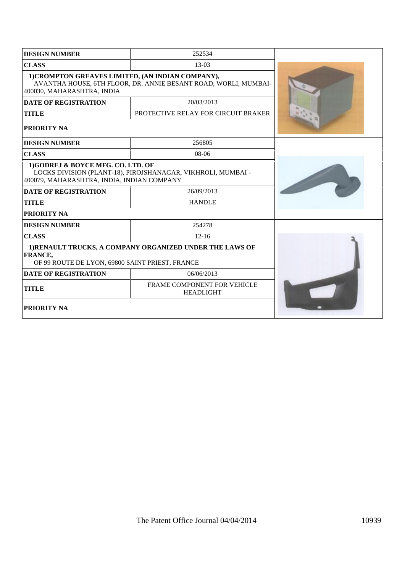| <b>DESIGN NUMBER</b>                                                            | 252534                                                          |  |
|---------------------------------------------------------------------------------|-----------------------------------------------------------------|--|
| <b>CLASS</b>                                                                    | $13-03$                                                         |  |
| 1) CROMPTON GREAVES LIMITED, (AN INDIAN COMPANY),<br>400030, MAHARASHTRA, INDIA | AVANTHA HOUSE, 6TH FLOOR, DR. ANNIE BESANT ROAD, WORLI, MUMBAI- |  |
| <b>DATE OF REGISTRATION</b>                                                     | 20/03/2013                                                      |  |
| <b>TITLE</b>                                                                    | PROTECTIVE RELAY FOR CIRCUIT BRAKER                             |  |
| PRIORITY NA                                                                     |                                                                 |  |
| <b>DESIGN NUMBER</b>                                                            | 256805                                                          |  |
| <b>CLASS</b>                                                                    | $08-06$                                                         |  |
| 1)GODREJ & BOYCE MFG. CO. LTD. OF<br>400079, MAHARASHTRA, INDIA, INDIAN COMPANY | LOCKS DIVISION (PLANT-18), PIROJSHANAGAR, VIKHROLI, MUMBAI -    |  |
| DATE OF REGISTRATION                                                            | 26/09/2013                                                      |  |
| <b>TITLE</b>                                                                    | <b>HANDLE</b>                                                   |  |
| <b>PRIORITY NA</b>                                                              |                                                                 |  |
| <b>DESIGN NUMBER</b>                                                            | 254278                                                          |  |
| <b>CLASS</b>                                                                    | $12 - 16$                                                       |  |
| FRANCE,<br>OF 99 ROUTE DE LYON, 69800 SAINT PRIEST, FRANCE                      | 1) RENAULT TRUCKS, A COMPANY ORGANIZED UNDER THE LAWS OF        |  |
| <b>DATE OF REGISTRATION</b>                                                     | 06/06/2013                                                      |  |
| <b>TITLE</b>                                                                    | FRAME COMPONENT FOR VEHICLE<br><b>HEADLIGHT</b>                 |  |
| <b>PRIORITY NA</b>                                                              |                                                                 |  |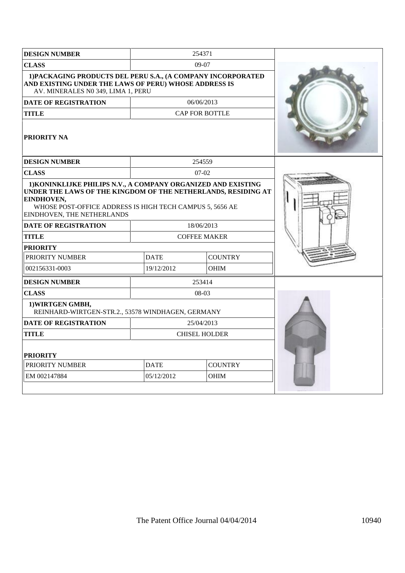| <b>DESIGN NUMBER</b>                                                                                                                                                                                                                   |             | 254371                |  |
|----------------------------------------------------------------------------------------------------------------------------------------------------------------------------------------------------------------------------------------|-------------|-----------------------|--|
| <b>CLASS</b>                                                                                                                                                                                                                           |             | $09-07$               |  |
| 1) PACKAGING PRODUCTS DEL PERU S.A., (A COMPANY INCORPORATED<br>AND EXISTING UNDER THE LAWS OF PERU) WHOSE ADDRESS IS<br>AV. MINERALES N0 349, LIMA 1, PERU                                                                            |             |                       |  |
| DATE OF REGISTRATION                                                                                                                                                                                                                   |             | 06/06/2013            |  |
| <b>TITLE</b>                                                                                                                                                                                                                           |             | <b>CAP FOR BOTTLE</b> |  |
| <b>PRIORITY NA</b>                                                                                                                                                                                                                     |             |                       |  |
| <b>DESIGN NUMBER</b>                                                                                                                                                                                                                   | 254559      |                       |  |
| <b>CLASS</b>                                                                                                                                                                                                                           |             | $07-02$               |  |
| 1) KONINKLIJKE PHILIPS N.V., A COMPANY ORGANIZED AND EXISTING<br>UNDER THE LAWS OF THE KINGDOM OF THE NETHERLANDS, RESIDING AT<br>EINDHOVEN,<br>WHOSE POST-OFFICE ADDRESS IS HIGH TECH CAMPUS 5, 5656 AE<br>EINDHOVEN, THE NETHERLANDS |             |                       |  |
| <b>DATE OF REGISTRATION</b>                                                                                                                                                                                                            |             | 18/06/2013            |  |
| <b>TITLE</b>                                                                                                                                                                                                                           |             | <b>COFFEE MAKER</b>   |  |
| <b>PRIORITY</b>                                                                                                                                                                                                                        |             |                       |  |
| PRIORITY NUMBER                                                                                                                                                                                                                        | <b>DATE</b> | <b>COUNTRY</b>        |  |
| 002156331-0003                                                                                                                                                                                                                         | 19/12/2012  | <b>OHIM</b>           |  |
| <b>DESIGN NUMBER</b>                                                                                                                                                                                                                   |             | 253414                |  |
| <b>CLASS</b>                                                                                                                                                                                                                           |             | 08-03                 |  |
| 1) WIRTGEN GMBH,<br>REINHARD-WIRTGEN-STR.2., 53578 WINDHAGEN, GERMANY                                                                                                                                                                  |             |                       |  |
| <b>DATE OF REGISTRATION</b>                                                                                                                                                                                                            |             | 25/04/2013            |  |
| <b>TITLE</b>                                                                                                                                                                                                                           |             | <b>CHISEL HOLDER</b>  |  |
| <b>PRIORITY</b>                                                                                                                                                                                                                        |             |                       |  |
| PRIORITY NUMBER                                                                                                                                                                                                                        | <b>DATE</b> | <b>COUNTRY</b>        |  |
| EM 002147884                                                                                                                                                                                                                           | 05/12/2012  | <b>OHIM</b>           |  |
|                                                                                                                                                                                                                                        |             |                       |  |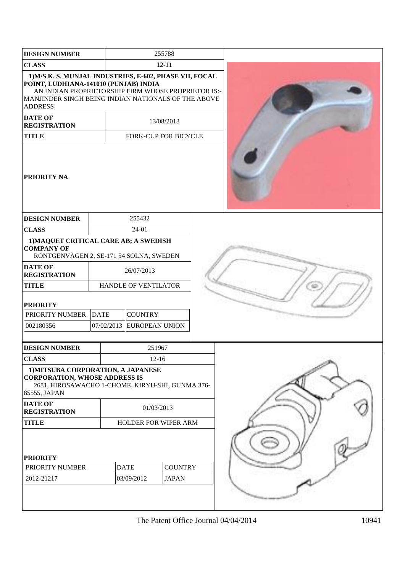| <b>DESIGN NUMBER</b>                                                                                                                                                                                                             |             |                      |                | 255788                         |  |
|----------------------------------------------------------------------------------------------------------------------------------------------------------------------------------------------------------------------------------|-------------|----------------------|----------------|--------------------------------|--|
| <b>CLASS</b>                                                                                                                                                                                                                     |             |                      |                | $12 - 11$                      |  |
| 1) M/S K. S. MUNJAL INDUSTRIES, E-602, PHASE VII, FOCAL<br>POINT, LUDHIANA-141010 (PUNJAB) INDIA<br>AN INDIAN PROPRIETORSHIP FIRM WHOSE PROPRIETOR IS:-<br>MANJINDER SINGH BEING INDIAN NATIONALS OF THE ABOVE<br><b>ADDRESS</b> |             |                      |                |                                |  |
| <b>DATE OF</b><br><b>REGISTRATION</b>                                                                                                                                                                                            |             |                      |                | 13/08/2013                     |  |
| <b>TITLE</b>                                                                                                                                                                                                                     |             |                      |                | FORK-CUP FOR BICYCLE           |  |
| <b>PRIORITY NA</b>                                                                                                                                                                                                               |             |                      |                |                                |  |
| <b>DESIGN NUMBER</b>                                                                                                                                                                                                             |             |                      | 255432         |                                |  |
| <b>CLASS</b>                                                                                                                                                                                                                     |             |                      | $24-01$        |                                |  |
| 1) MAQUET CRITICAL CARE AB; A SWEDISH<br><b>COMPANY OF</b><br>RÖNTGENVÄGEN 2, SE-171 54 SOLNA, SWEDEN                                                                                                                            |             |                      |                |                                |  |
| <b>DATE OF</b><br><b>REGISTRATION</b>                                                                                                                                                                                            |             | 26/07/2013           |                |                                |  |
| <b>TITLE</b>                                                                                                                                                                                                                     |             |                      |                | HANDLE OF VENTILATOR           |  |
| <b>PRIORITY</b>                                                                                                                                                                                                                  |             |                      |                |                                |  |
| PRIORITY NUMBER                                                                                                                                                                                                                  | <b>DATE</b> |                      | <b>COUNTRY</b> |                                |  |
| 002180356                                                                                                                                                                                                                        |             |                      |                | 07/02/2013 EUROPEAN UNION      |  |
| <b>DESIGN NUMBER</b>                                                                                                                                                                                                             |             |                      |                | 251967                         |  |
| <b>CLASS</b>                                                                                                                                                                                                                     |             |                      |                | $12 - 16$                      |  |
| 1) MITSUBA CORPORATION, A JAPANESE<br><b>CORPORATION, WHOSE ADDRESS IS</b><br>2681, HIROSAWACHO 1-CHOME, KIRYU-SHI, GUNMA 376-<br>85555, JAPAN                                                                                   |             |                      |                |                                |  |
| <b>DATE OF</b><br><b>REGISTRATION</b>                                                                                                                                                                                            |             |                      |                | 01/03/2013                     |  |
| <b>TITLE</b>                                                                                                                                                                                                                     |             | HOLDER FOR WIPER ARM |                |                                |  |
| <b>PRIORITY</b><br>PRIORITY NUMBER<br>2012-21217                                                                                                                                                                                 |             | <b>DATE</b>          | 03/09/2012     | <b>COUNTRY</b><br><b>JAPAN</b> |  |
|                                                                                                                                                                                                                                  |             |                      |                |                                |  |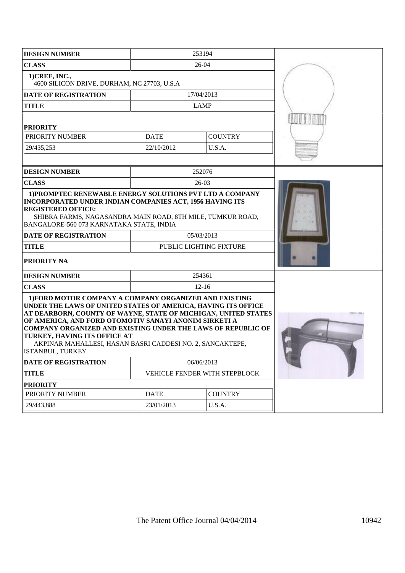| <b>DESIGN NUMBER</b>                                                                                                                                                                                                                                                                                                                                                                                                                       |             | 253194                        |  |
|--------------------------------------------------------------------------------------------------------------------------------------------------------------------------------------------------------------------------------------------------------------------------------------------------------------------------------------------------------------------------------------------------------------------------------------------|-------------|-------------------------------|--|
| <b>CLASS</b>                                                                                                                                                                                                                                                                                                                                                                                                                               |             | 26-04                         |  |
| 1) CREE, INC.,<br>4600 SILICON DRIVE, DURHAM, NC 27703, U.S.A                                                                                                                                                                                                                                                                                                                                                                              |             |                               |  |
| <b>DATE OF REGISTRATION</b>                                                                                                                                                                                                                                                                                                                                                                                                                |             | 17/04/2013                    |  |
| <b>TITLE</b>                                                                                                                                                                                                                                                                                                                                                                                                                               |             | <b>LAMP</b>                   |  |
| <b>PRIORITY</b>                                                                                                                                                                                                                                                                                                                                                                                                                            |             |                               |  |
| PRIORITY NUMBER                                                                                                                                                                                                                                                                                                                                                                                                                            | <b>DATE</b> | <b>COUNTRY</b>                |  |
| 29/435,253                                                                                                                                                                                                                                                                                                                                                                                                                                 | 22/10/2012  | U.S.A.                        |  |
|                                                                                                                                                                                                                                                                                                                                                                                                                                            |             |                               |  |
| <b>DESIGN NUMBER</b>                                                                                                                                                                                                                                                                                                                                                                                                                       |             | 252076                        |  |
| <b>CLASS</b>                                                                                                                                                                                                                                                                                                                                                                                                                               |             | $26-03$                       |  |
| 1) PROMPTEC RENEWABLE ENERGY SOLUTIONS PVT LTD A COMPANY<br>INCORPORATED UNDER INDIAN COMPANIES ACT, 1956 HAVING ITS<br><b>REGISTERED OFFICE:</b><br>SHIBRA FARMS, NAGASANDRA MAIN ROAD, 8TH MILE, TUMKUR ROAD,<br>BANGALORE-560 073 KARNATAKA STATE, INDIA                                                                                                                                                                                |             |                               |  |
| DATE OF REGISTRATION                                                                                                                                                                                                                                                                                                                                                                                                                       |             | 05/03/2013                    |  |
| <b>TITLE</b>                                                                                                                                                                                                                                                                                                                                                                                                                               |             | PUBLIC LIGHTING FIXTURE       |  |
| <b>PRIORITY NA</b>                                                                                                                                                                                                                                                                                                                                                                                                                         |             |                               |  |
| <b>DESIGN NUMBER</b>                                                                                                                                                                                                                                                                                                                                                                                                                       |             | 254361                        |  |
| <b>CLASS</b>                                                                                                                                                                                                                                                                                                                                                                                                                               |             | $12 - 16$                     |  |
| 1) FORD MOTOR COMPANY A COMPANY ORGANIZED AND EXISTING<br>UNDER THE LAWS OF UNITED STATES OF AMERICA, HAVING ITS OFFICE<br>AT DEARBORN, COUNTY OF WAYNE, STATE OF MICHIGAN, UNITED STATES<br>OF AMERICA, AND FORD OTOMOTIV SANAYI ANONIM SIRKETI A<br><b>COMPANY ORGANIZED AND EXISTING UNDER THE LAWS OF REPUBLIC OF</b><br>TURKEY, HAVING ITS OFFICE AT<br>AKPINAR MAHALLESI, HASAN BASRI CADDESI NO. 2, SANCAKTEPE,<br>ISTANBUL, TURKEY |             |                               |  |
| DATE OF REGISTRATION                                                                                                                                                                                                                                                                                                                                                                                                                       |             | 06/06/2013                    |  |
| <b>TITLE</b>                                                                                                                                                                                                                                                                                                                                                                                                                               |             | VEHICLE FENDER WITH STEPBLOCK |  |
| <b>PRIORITY</b>                                                                                                                                                                                                                                                                                                                                                                                                                            |             |                               |  |
| PRIORITY NUMBER                                                                                                                                                                                                                                                                                                                                                                                                                            | <b>DATE</b> | <b>COUNTRY</b>                |  |
| 29/443,888                                                                                                                                                                                                                                                                                                                                                                                                                                 | 23/01/2013  | U.S.A.                        |  |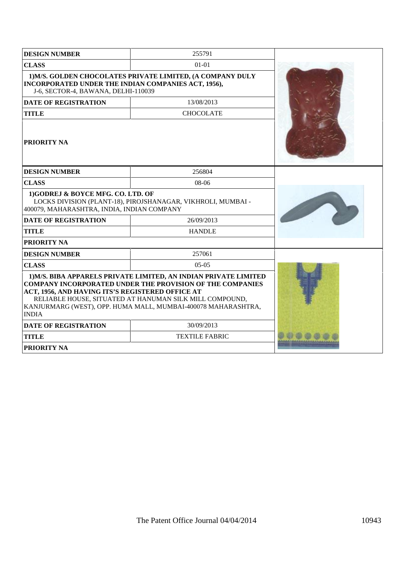| <b>DESIGN NUMBER</b>                                                                       | 255791                                                                                                                                                                                                                                                           |  |
|--------------------------------------------------------------------------------------------|------------------------------------------------------------------------------------------------------------------------------------------------------------------------------------------------------------------------------------------------------------------|--|
| <b>CLASS</b>                                                                               | $01 - 01$                                                                                                                                                                                                                                                        |  |
| INCORPORATED UNDER THE INDIAN COMPANIES ACT, 1956),<br>J-6, SECTOR-4, BAWANA, DELHI-110039 | 1) M/S. GOLDEN CHOCOLATES PRIVATE LIMITED, (A COMPANY DULY                                                                                                                                                                                                       |  |
| <b>DATE OF REGISTRATION</b>                                                                | 13/08/2013                                                                                                                                                                                                                                                       |  |
| <b>TITLE</b>                                                                               | <b>CHOCOLATE</b>                                                                                                                                                                                                                                                 |  |
| <b>PRIORITY NA</b>                                                                         |                                                                                                                                                                                                                                                                  |  |
| <b>DESIGN NUMBER</b>                                                                       | 256804                                                                                                                                                                                                                                                           |  |
| <b>CLASS</b>                                                                               | 08-06                                                                                                                                                                                                                                                            |  |
| 1)GODREJ & BOYCE MFG. CO. LTD. OF<br>400079, MAHARASHTRA, INDIA, INDIAN COMPANY            | LOCKS DIVISION (PLANT-18), PIROJSHANAGAR, VIKHROLI, MUMBAI -                                                                                                                                                                                                     |  |
| <b>DATE OF REGISTRATION</b>                                                                | 26/09/2013                                                                                                                                                                                                                                                       |  |
| <b>TITLE</b>                                                                               | <b>HANDLE</b>                                                                                                                                                                                                                                                    |  |
| <b>PRIORITY NA</b>                                                                         |                                                                                                                                                                                                                                                                  |  |
| <b>DESIGN NUMBER</b>                                                                       | 257061                                                                                                                                                                                                                                                           |  |
| <b>CLASS</b>                                                                               | $05-05$                                                                                                                                                                                                                                                          |  |
| ACT, 1956, AND HAVING ITS'S REGISTERED OFFICE AT<br><b>INDIA</b>                           | 1) M/S. BIBA APPARELS PRIVATE LIMITED, AN INDIAN PRIVATE LIMITED<br><b>COMPANY INCORPORATED UNDER THE PROVISION OF THE COMPANIES</b><br>RELIABLE HOUSE, SITUATED AT HANUMAN SILK MILL COMPOUND,<br>KANJURMARG (WEST), OPP. HUMA MALL, MUMBAI-400078 MAHARASHTRA, |  |
| <b>DATE OF REGISTRATION</b>                                                                | 30/09/2013                                                                                                                                                                                                                                                       |  |
| <b>TITLE</b>                                                                               | <b>TEXTILE FABRIC</b>                                                                                                                                                                                                                                            |  |
| <b>PRIORITY NA</b>                                                                         |                                                                                                                                                                                                                                                                  |  |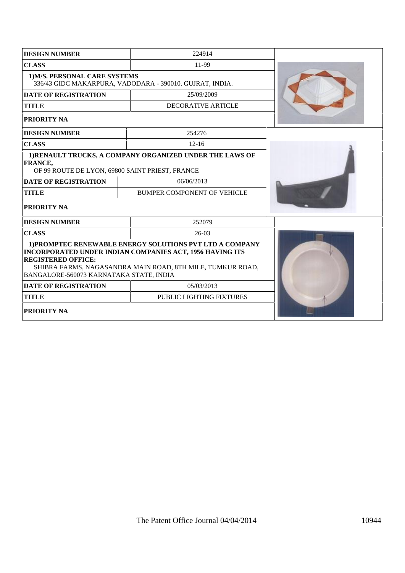| <b>DESIGN NUMBER</b>                                                                      |                                                                                                                                                                                           |  |
|-------------------------------------------------------------------------------------------|-------------------------------------------------------------------------------------------------------------------------------------------------------------------------------------------|--|
| <b>CLASS</b>                                                                              |                                                                                                                                                                                           |  |
| 1) M/S. PERSONAL CARE SYSTEMS<br>336/43 GIDC MAKARPURA, VADODARA - 390010. GUJRAT, INDIA. |                                                                                                                                                                                           |  |
| <b>DATE OF REGISTRATION</b>                                                               | 25/09/2009                                                                                                                                                                                |  |
| <b>TITLE</b>                                                                              | DECORATIVE ARTICLE                                                                                                                                                                        |  |
| PRIORITY NA                                                                               |                                                                                                                                                                                           |  |
| <b>DESIGN NUMBER</b>                                                                      | 254276                                                                                                                                                                                    |  |
| <b>CLASS</b>                                                                              | $12-16$                                                                                                                                                                                   |  |
| FRANCE,<br>OF 99 ROUTE DE LYON, 69800 SAINT PRIEST, FRANCE                                | 1) RENAULT TRUCKS, A COMPANY ORGANIZED UNDER THE LAWS OF                                                                                                                                  |  |
| <b>DATE OF REGISTRATION</b>                                                               | 06/06/2013                                                                                                                                                                                |  |
| <b>TITLE</b>                                                                              | BUMPER COMPONENT OF VEHICLE                                                                                                                                                               |  |
| PRIORITY NA                                                                               |                                                                                                                                                                                           |  |
| <b>DESIGN NUMBER</b>                                                                      | 252079                                                                                                                                                                                    |  |
| <b>CLASS</b>                                                                              |                                                                                                                                                                                           |  |
| <b>REGISTERED OFFICE:</b><br>BANGALORE-560073 KARNATAKA STATE, INDIA                      | 1) PROMPTEC RENEWABLE ENERGY SOLUTIONS PVT LTD A COMPANY<br><b>INCORPORATED UNDER INDIAN COMPANIES ACT, 1956 HAVING ITS</b><br>SHIBRA FARMS, NAGASANDRA MAIN ROAD, 8TH MILE, TUMKUR ROAD, |  |
| <b>DATE OF REGISTRATION</b>                                                               |                                                                                                                                                                                           |  |
| <b>TITLE</b>                                                                              | PUBLIC LIGHTING FIXTURES                                                                                                                                                                  |  |
| <b>PRIORITY NA</b>                                                                        |                                                                                                                                                                                           |  |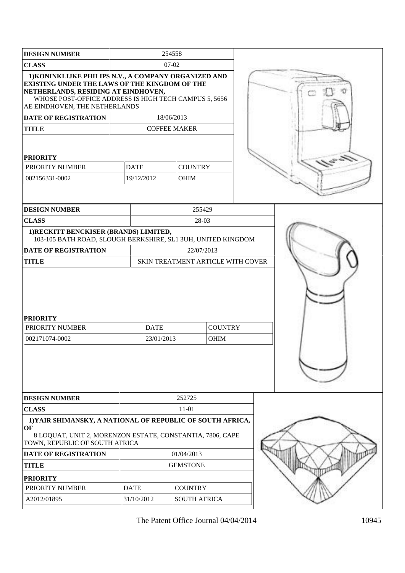| <b>DESIGN NUMBER</b>                                                                                                                                                                                                                          |             | 254558              |                                   |  |
|-----------------------------------------------------------------------------------------------------------------------------------------------------------------------------------------------------------------------------------------------|-------------|---------------------|-----------------------------------|--|
| <b>CLASS</b>                                                                                                                                                                                                                                  |             | 07-02               |                                   |  |
| 1) KONINKLIJKE PHILIPS N.V., A COMPANY ORGANIZED AND<br><b>EXISTING UNDER THE LAWS OF THE KINGDOM OF THE</b><br>NETHERLANDS, RESIDING AT EINDHOVEN,<br>WHOSE POST-OFFICE ADDRESS IS HIGH TECH CAMPUS 5, 5656<br>AE EINDHOVEN, THE NETHERLANDS |             |                     |                                   |  |
| <b>DATE OF REGISTRATION</b>                                                                                                                                                                                                                   |             | 18/06/2013          |                                   |  |
| <b>TITLE</b>                                                                                                                                                                                                                                  |             | <b>COFFEE MAKER</b> |                                   |  |
| <b>PRIORITY</b>                                                                                                                                                                                                                               |             |                     |                                   |  |
| PRIORITY NUMBER                                                                                                                                                                                                                               | <b>DATE</b> | <b>COUNTRY</b>      |                                   |  |
| 002156331-0002                                                                                                                                                                                                                                | 19/12/2012  | <b>OHIM</b>         |                                   |  |
|                                                                                                                                                                                                                                               |             |                     |                                   |  |
| <b>DESIGN NUMBER</b>                                                                                                                                                                                                                          |             |                     | 255429                            |  |
| <b>CLASS</b>                                                                                                                                                                                                                                  |             |                     | 28-03                             |  |
| 1) RECKITT BENCKISER (BRANDS) LIMITED,<br>103-105 BATH ROAD, SLOUGH BERKSHIRE, SL1 3UH, UNITED KINGDOM                                                                                                                                        |             |                     |                                   |  |
| <b>DATE OF REGISTRATION</b>                                                                                                                                                                                                                   |             |                     | 22/07/2013                        |  |
| <b>TITLE</b>                                                                                                                                                                                                                                  |             |                     | SKIN TREATMENT ARTICLE WITH COVER |  |
| <b>PRIORITY</b><br>PRIORITY NUMBER                                                                                                                                                                                                            | <b>DATE</b> |                     | <b>COUNTRY</b>                    |  |
| 002171074-0002                                                                                                                                                                                                                                | 23/01/2013  |                     | <b>OHIM</b>                       |  |
|                                                                                                                                                                                                                                               |             |                     |                                   |  |
| <b>DESIGN NUMBER</b>                                                                                                                                                                                                                          |             | 252725              |                                   |  |
| <b>CLASS</b>                                                                                                                                                                                                                                  |             | 11-01               |                                   |  |
| 1) YAIR SHIMANSKY, A NATIONAL OF REPUBLIC OF SOUTH AFRICA,<br>OF<br>8 LOQUAT, UNIT 2, MORENZON ESTATE, CONSTANTIA, 7806, CAPE<br>TOWN, REPUBLIC OF SOUTH AFRICA                                                                               |             |                     |                                   |  |
| <b>DATE OF REGISTRATION</b>                                                                                                                                                                                                                   |             | 01/04/2013          |                                   |  |
| <b>TITLE</b>                                                                                                                                                                                                                                  |             | <b>GEMSTONE</b>     |                                   |  |
| <b>PRIORITY</b>                                                                                                                                                                                                                               |             |                     |                                   |  |
|                                                                                                                                                                                                                                               |             |                     |                                   |  |
| PRIORITY NUMBER                                                                                                                                                                                                                               | <b>DATE</b> | <b>COUNTRY</b>      |                                   |  |
| A2012/01895                                                                                                                                                                                                                                   | 31/10/2012  | <b>SOUTH AFRICA</b> |                                   |  |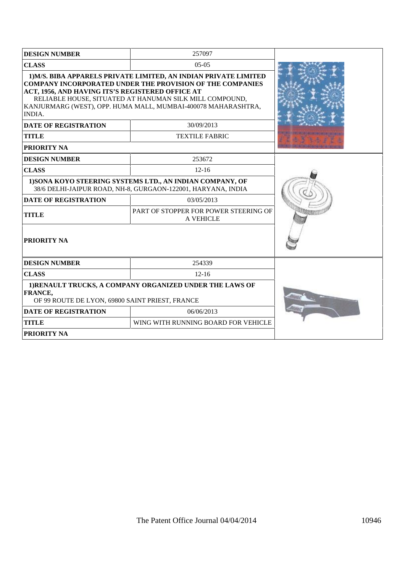| <b>DESIGN NUMBER</b>                                                                                                                                                                                                                                                                                                           | 257097                              |  |  |
|--------------------------------------------------------------------------------------------------------------------------------------------------------------------------------------------------------------------------------------------------------------------------------------------------------------------------------|-------------------------------------|--|--|
| <b>CLASS</b>                                                                                                                                                                                                                                                                                                                   |                                     |  |  |
| 1) M/S. BIBA APPARELS PRIVATE LIMITED, AN INDIAN PRIVATE LIMITED<br><b>COMPANY INCORPORATED UNDER THE PROVISION OF THE COMPANIES</b><br>ACT, 1956, AND HAVING ITS'S REGISTERED OFFICE AT<br>RELIABLE HOUSE, SITUATED AT HANUMAN SILK MILL COMPOUND,<br>KANJURMARG (WEST), OPP. HUMA MALL, MUMBAI-400078 MAHARASHTRA,<br>INDIA. |                                     |  |  |
| <b>DATE OF REGISTRATION</b>                                                                                                                                                                                                                                                                                                    | 30/09/2013                          |  |  |
| <b>TITLE</b>                                                                                                                                                                                                                                                                                                                   | <b>TEXTILE FABRIC</b>               |  |  |
| PRIORITY NA                                                                                                                                                                                                                                                                                                                    |                                     |  |  |
| <b>DESIGN NUMBER</b>                                                                                                                                                                                                                                                                                                           | 253672                              |  |  |
| <b>CLASS</b>                                                                                                                                                                                                                                                                                                                   |                                     |  |  |
| 1) SONA KOYO STEERING SYSTEMS LTD., AN INDIAN COMPANY, OF<br>38/6 DELHI-JAIPUR ROAD, NH-8, GURGAON-122001, HARYANA, INDIA                                                                                                                                                                                                      |                                     |  |  |
| <b>DATE OF REGISTRATION</b>                                                                                                                                                                                                                                                                                                    |                                     |  |  |
| <b>TITLE</b>                                                                                                                                                                                                                                                                                                                   |                                     |  |  |
| <b>PRIORITY NA</b>                                                                                                                                                                                                                                                                                                             |                                     |  |  |
| <b>DESIGN NUMBER</b>                                                                                                                                                                                                                                                                                                           | 254339                              |  |  |
| <b>CLASS</b>                                                                                                                                                                                                                                                                                                                   |                                     |  |  |
| 1) RENAULT TRUCKS, A COMPANY ORGANIZED UNDER THE LAWS OF<br>FRANCE,<br>OF 99 ROUTE DE LYON, 69800 SAINT PRIEST, FRANCE                                                                                                                                                                                                         |                                     |  |  |
| <b>DATE OF REGISTRATION</b>                                                                                                                                                                                                                                                                                                    |                                     |  |  |
| <b>TITLE</b>                                                                                                                                                                                                                                                                                                                   | WING WITH RUNNING BOARD FOR VEHICLE |  |  |
| PRIORITY NA                                                                                                                                                                                                                                                                                                                    |                                     |  |  |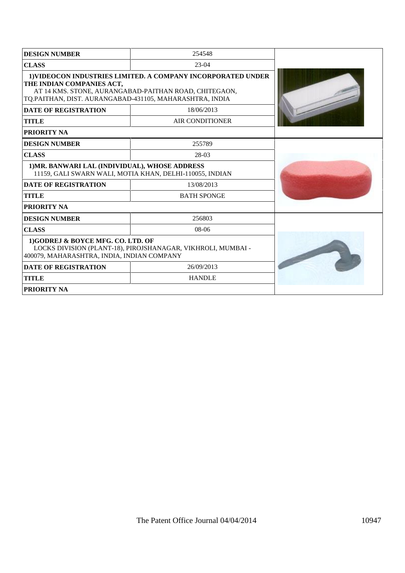| <b>DESIGN NUMBER</b>                                                                                                                                                                                          | 254548                                                   |  |
|---------------------------------------------------------------------------------------------------------------------------------------------------------------------------------------------------------------|----------------------------------------------------------|--|
| <b>CLASS</b>                                                                                                                                                                                                  | 23-04                                                    |  |
| 1) VIDEOCON INDUSTRIES LIMITED. A COMPANY INCORPORATED UNDER<br>THE INDIAN COMPANIES ACT,<br>AT 14 KMS. STONE, AURANGABAD-PAITHAN ROAD, CHITEGAON,<br>TQ.PAITHAN, DIST. AURANGABAD-431105, MAHARASHTRA, INDIA |                                                          |  |
| <b>DATE OF REGISTRATION</b>                                                                                                                                                                                   | 18/06/2013                                               |  |
| <b>TITLE</b>                                                                                                                                                                                                  | <b>AIR CONDITIONER</b>                                   |  |
| <b>PRIORITY NA</b>                                                                                                                                                                                            |                                                          |  |
| <b>DESIGN NUMBER</b>                                                                                                                                                                                          | 255789                                                   |  |
| <b>CLASS</b>                                                                                                                                                                                                  | 28-03                                                    |  |
| 1) MR. BANWARI LAL (INDIVIDUAL), WHOSE ADDRESS                                                                                                                                                                | 11159, GALI SWARN WALI, MOTIA KHAN, DELHI-110055, INDIAN |  |
| <b>DATE OF REGISTRATION</b>                                                                                                                                                                                   | 13/08/2013                                               |  |
| <b>TITLE</b>                                                                                                                                                                                                  | <b>BATH SPONGE</b>                                       |  |
| PRIORITY NA                                                                                                                                                                                                   |                                                          |  |
| <b>DESIGN NUMBER</b>                                                                                                                                                                                          | 256803                                                   |  |
| <b>CLASS</b>                                                                                                                                                                                                  | $08-06$                                                  |  |
| 1)GODREJ & BOYCE MFG. CO. LTD. OF<br>LOCKS DIVISION (PLANT-18), PIROJSHANAGAR, VIKHROLI, MUMBAI -<br>400079, MAHARASHTRA, INDIA, INDIAN COMPANY                                                               |                                                          |  |
| <b>DATE OF REGISTRATION</b>                                                                                                                                                                                   | 26/09/2013                                               |  |
| <b>TITLE</b>                                                                                                                                                                                                  | <b>HANDLE</b>                                            |  |
| <b>PRIORITY NA</b>                                                                                                                                                                                            |                                                          |  |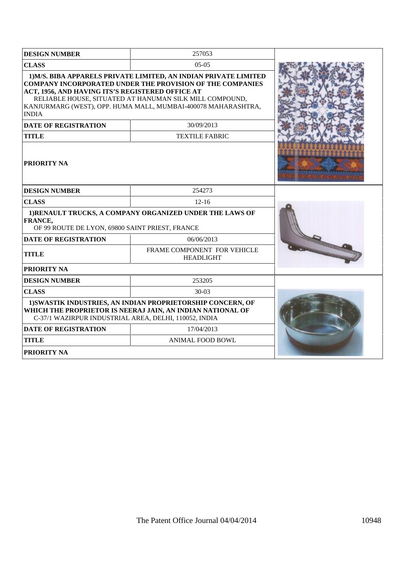| <b>DESIGN NUMBER</b>                                                                                                                                                               | 257053                                                                                                                                                                                                                                                           |  |
|------------------------------------------------------------------------------------------------------------------------------------------------------------------------------------|------------------------------------------------------------------------------------------------------------------------------------------------------------------------------------------------------------------------------------------------------------------|--|
| <b>CLASS</b>                                                                                                                                                                       | $0.5 - 0.5$                                                                                                                                                                                                                                                      |  |
| ACT, 1956, AND HAVING ITS'S REGISTERED OFFICE AT<br><b>INDIA</b>                                                                                                                   | 1) M/S. BIBA APPARELS PRIVATE LIMITED, AN INDIAN PRIVATE LIMITED<br><b>COMPANY INCORPORATED UNDER THE PROVISION OF THE COMPANIES</b><br>RELIABLE HOUSE, SITUATED AT HANUMAN SILK MILL COMPOUND,<br>KANJURMARG (WEST), OPP. HUMA MALL, MUMBAI-400078 MAHARASHTRA, |  |
| <b>DATE OF REGISTRATION</b>                                                                                                                                                        | 30/09/2013                                                                                                                                                                                                                                                       |  |
| <b>TITLE</b>                                                                                                                                                                       | <b>TEXTILE FABRIC</b>                                                                                                                                                                                                                                            |  |
| <b>PRIORITY NA</b>                                                                                                                                                                 |                                                                                                                                                                                                                                                                  |  |
| <b>DESIGN NUMBER</b>                                                                                                                                                               | 254273                                                                                                                                                                                                                                                           |  |
| <b>CLASS</b>                                                                                                                                                                       | $12-16$                                                                                                                                                                                                                                                          |  |
| <b>FRANCE,</b><br>OF 99 ROUTE DE LYON, 69800 SAINT PRIEST, FRANCE                                                                                                                  | 1) RENAULT TRUCKS, A COMPANY ORGANIZED UNDER THE LAWS OF                                                                                                                                                                                                         |  |
| <b>DATE OF REGISTRATION</b>                                                                                                                                                        | 06/06/2013                                                                                                                                                                                                                                                       |  |
| <b>TITLE</b>                                                                                                                                                                       |                                                                                                                                                                                                                                                                  |  |
| <b>PRIORITY NA</b>                                                                                                                                                                 |                                                                                                                                                                                                                                                                  |  |
| <b>DESIGN NUMBER</b>                                                                                                                                                               | 253205                                                                                                                                                                                                                                                           |  |
| <b>CLASS</b>                                                                                                                                                                       | 30-03                                                                                                                                                                                                                                                            |  |
| 1) SWASTIK INDUSTRIES, AN INDIAN PROPRIETORSHIP CONCERN, OF<br>WHICH THE PROPRIETOR IS NEERAJ JAIN, AN INDIAN NATIONAL OF<br>C-37/1 WAZIRPUR INDUSTRIAL AREA, DELHI, 110052, INDIA |                                                                                                                                                                                                                                                                  |  |
| <b>DATE OF REGISTRATION</b>                                                                                                                                                        | 17/04/2013                                                                                                                                                                                                                                                       |  |
| <b>TITLE</b>                                                                                                                                                                       | <b>ANIMAL FOOD BOWL</b>                                                                                                                                                                                                                                          |  |
| PRIORITY NA                                                                                                                                                                        |                                                                                                                                                                                                                                                                  |  |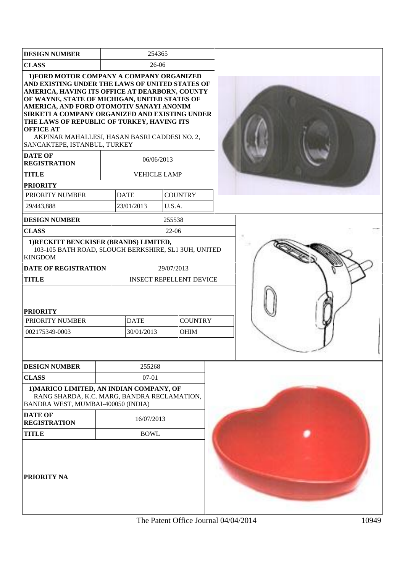| <b>DESIGN NUMBER</b>                                                                                                                                                                                                                                                                                                                                                                                                                                                                                      |                     | 254365     |                                |  |  |
|-----------------------------------------------------------------------------------------------------------------------------------------------------------------------------------------------------------------------------------------------------------------------------------------------------------------------------------------------------------------------------------------------------------------------------------------------------------------------------------------------------------|---------------------|------------|--------------------------------|--|--|
| <b>CLASS</b>                                                                                                                                                                                                                                                                                                                                                                                                                                                                                              | 26-06               |            |                                |  |  |
| 1) FORD MOTOR COMPANY A COMPANY ORGANIZED<br>AND EXISTING UNDER THE LAWS OF UNITED STATES OF<br>AMERICA, HAVING ITS OFFICE AT DEARBORN, COUNTY<br>OF WAYNE, STATE OF MICHIGAN, UNITED STATES OF<br>AMERICA, AND FORD OTOMOTIV SANAYI ANONIM<br>SIRKETI A COMPANY ORGANIZED AND EXISTING UNDER<br>THE LAWS OF REPUBLIC OF TURKEY, HAVING ITS<br><b>OFFICE AT</b><br>AKPINAR MAHALLESI, HASAN BASRI CADDESI NO. 2,<br>SANCAKTEPE, ISTANBUL, TURKEY<br><b>DATE OF</b><br><b>REGISTRATION</b><br><b>TITLE</b> | <b>VEHICLE LAMP</b> | 06/06/2013 |                                |  |  |
| <b>PRIORITY</b>                                                                                                                                                                                                                                                                                                                                                                                                                                                                                           |                     |            |                                |  |  |
| PRIORITY NUMBER                                                                                                                                                                                                                                                                                                                                                                                                                                                                                           | <b>DATE</b>         |            | <b>COUNTRY</b>                 |  |  |
| 29/443,888                                                                                                                                                                                                                                                                                                                                                                                                                                                                                                | 23/01/2013          | U.S.A.     |                                |  |  |
| <b>DESIGN NUMBER</b>                                                                                                                                                                                                                                                                                                                                                                                                                                                                                      |                     | 255538     |                                |  |  |
| <b>CLASS</b>                                                                                                                                                                                                                                                                                                                                                                                                                                                                                              |                     | $22-06$    |                                |  |  |
| 1) RECKITT BENCKISER (BRANDS) LIMITED,<br>103-105 BATH ROAD, SLOUGH BERKSHIRE, SL1 3UH, UNITED<br><b>KINGDOM</b>                                                                                                                                                                                                                                                                                                                                                                                          |                     |            |                                |  |  |
| <b>DATE OF REGISTRATION</b>                                                                                                                                                                                                                                                                                                                                                                                                                                                                               |                     | 29/07/2013 |                                |  |  |
| <b>TITLE</b>                                                                                                                                                                                                                                                                                                                                                                                                                                                                                              |                     |            | <b>INSECT REPELLENT DEVICE</b> |  |  |
| <b>PRIORITY</b>                                                                                                                                                                                                                                                                                                                                                                                                                                                                                           |                     |            |                                |  |  |
| PRIORITY NUMBER                                                                                                                                                                                                                                                                                                                                                                                                                                                                                           | <b>DATE</b>         |            | <b>COUNTRY</b>                 |  |  |
| 002175349-0003                                                                                                                                                                                                                                                                                                                                                                                                                                                                                            | 30/01/2013          |            | <b>OHIM</b>                    |  |  |
|                                                                                                                                                                                                                                                                                                                                                                                                                                                                                                           |                     |            |                                |  |  |
| <b>DESIGN NUMBER</b>                                                                                                                                                                                                                                                                                                                                                                                                                                                                                      | 255268              |            |                                |  |  |
| <b>CLASS</b>                                                                                                                                                                                                                                                                                                                                                                                                                                                                                              | 07-01               |            |                                |  |  |
| 1) MARICO LIMITED, AN INDIAN COMPANY, OF<br>RANG SHARDA, K.C. MARG, BANDRA RECLAMATION,<br>BANDRA WEST, MUMBAI-400050 (INDIA)                                                                                                                                                                                                                                                                                                                                                                             |                     |            |                                |  |  |
| <b>DATE OF</b><br><b>REGISTRATION</b>                                                                                                                                                                                                                                                                                                                                                                                                                                                                     | 16/07/2013          |            |                                |  |  |
| <b>TITLE</b>                                                                                                                                                                                                                                                                                                                                                                                                                                                                                              | <b>BOWL</b>         |            |                                |  |  |
| <b>PRIORITY NA</b>                                                                                                                                                                                                                                                                                                                                                                                                                                                                                        |                     |            |                                |  |  |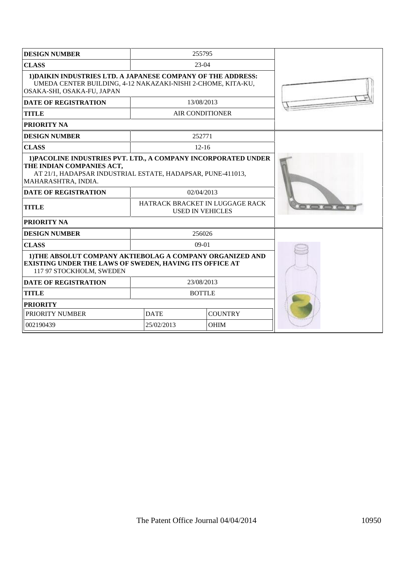| <b>DESIGN NUMBER</b>                                                                                                                                       |             | 255795                                                     |  |
|------------------------------------------------------------------------------------------------------------------------------------------------------------|-------------|------------------------------------------------------------|--|
| <b>CLASS</b>                                                                                                                                               |             | 23-04                                                      |  |
| 1) DAIKIN INDUSTRIES LTD. A JAPANESE COMPANY OF THE ADDRESS:<br>UMEDA CENTER BUILDING, 4-12 NAKAZAKI-NISHI 2-CHOME, KITA-KU,<br>OSAKA-SHI, OSAKA-FU, JAPAN |             |                                                            |  |
| <b>DATE OF REGISTRATION</b>                                                                                                                                |             | 13/08/2013                                                 |  |
| <b>TITLE</b>                                                                                                                                               |             | AIR CONDITIONER                                            |  |
| <b>PRIORITY NA</b>                                                                                                                                         |             |                                                            |  |
| <b>DESIGN NUMBER</b>                                                                                                                                       |             | 252771                                                     |  |
| <b>CLASS</b>                                                                                                                                               |             | $12 - 16$                                                  |  |
| THE INDIAN COMPANIES ACT,<br>AT 21/1, HADAPSAR INDUSTRIAL ESTATE, HADAPSAR, PUNE-411013,<br>MAHARASHTRA, INDIA.<br><b>DATE OF REGISTRATION</b>             |             |                                                            |  |
| <b>TITLE</b>                                                                                                                                               |             | HATRACK BRACKET IN LUGGAGE RACK<br><b>USED IN VEHICLES</b> |  |
| <b>PRIORITY NA</b>                                                                                                                                         |             |                                                            |  |
| <b>DESIGN NUMBER</b>                                                                                                                                       |             | 256026                                                     |  |
| <b>CLASS</b>                                                                                                                                               |             | $09-01$                                                    |  |
| 1) THE ABSOLUT COMPANY AKTIEBOLAG A COMPANY ORGANIZED AND<br>EXISTING UNDER THE LAWS OF SWEDEN, HAVING ITS OFFICE AT<br>117 97 STOCKHOLM, SWEDEN           |             |                                                            |  |
| <b>DATE OF REGISTRATION</b>                                                                                                                                |             | 23/08/2013                                                 |  |
| <b>TITLE</b>                                                                                                                                               |             | <b>BOTTLE</b>                                              |  |
| <b>PRIORITY</b>                                                                                                                                            |             |                                                            |  |
| PRIORITY NUMBER                                                                                                                                            | <b>DATE</b> | <b>COUNTRY</b>                                             |  |
| 002190439                                                                                                                                                  | 25/02/2013  | <b>OHIM</b>                                                |  |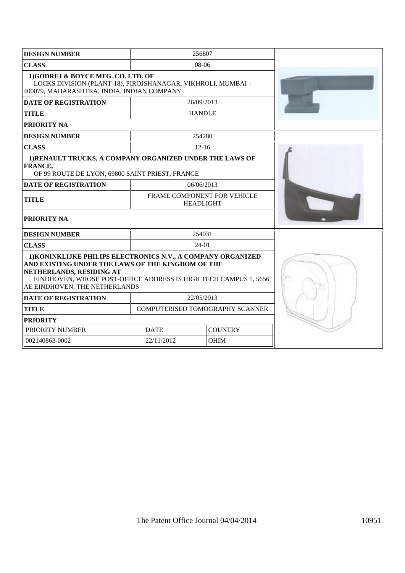| <b>DESIGN NUMBER</b>                                                                                                                                                                                                                               | 256807                                          |             |  |
|----------------------------------------------------------------------------------------------------------------------------------------------------------------------------------------------------------------------------------------------------|-------------------------------------------------|-------------|--|
| <b>CLASS</b>                                                                                                                                                                                                                                       | 08-06                                           |             |  |
| 1)GODREJ & BOYCE MFG. CO. LTD. OF<br>LOCKS DIVISION (PLANT-18), PIROJSHANAGAR, VIKHROLI, MUMBAI -<br>400079, MAHARASHTRA, INDIA, INDIAN COMPANY                                                                                                    |                                                 |             |  |
| <b>DATE OF REGISTRATION</b>                                                                                                                                                                                                                        | 26/09/2013                                      |             |  |
| <b>TITLE</b>                                                                                                                                                                                                                                       | <b>HANDLE</b>                                   |             |  |
| PRIORITY NA                                                                                                                                                                                                                                        |                                                 |             |  |
| <b>DESIGN NUMBER</b>                                                                                                                                                                                                                               | 254280                                          |             |  |
| <b>CLASS</b>                                                                                                                                                                                                                                       | $12-16$                                         |             |  |
| 1) RENAULT TRUCKS, A COMPANY ORGANIZED UNDER THE LAWS OF<br><b>FRANCE,</b><br>OF 99 ROUTE DE LYON, 69800 SAINT PRIEST, FRANCE                                                                                                                      |                                                 |             |  |
| <b>DATE OF REGISTRATION</b>                                                                                                                                                                                                                        | 06/06/2013                                      |             |  |
| <b>TITLE</b>                                                                                                                                                                                                                                       | FRAME COMPONENT FOR VEHICLE<br><b>HEADLIGHT</b> |             |  |
| <b>PRIORITY NA</b>                                                                                                                                                                                                                                 |                                                 |             |  |
| <b>DESIGN NUMBER</b>                                                                                                                                                                                                                               | 254031                                          |             |  |
| <b>CLASS</b>                                                                                                                                                                                                                                       | $24-01$                                         |             |  |
| 1) KONINKLIJKE PHILIPS ELECTRONICS N.V., A COMPANY ORGANIZED<br>AND EXISTING UNDER THE LAWS OF THE KINGDOM OF THE<br>NETHERLANDS, RESIDING AT<br>EINDHOVEN, WHOSE POST-OFFICE ADDRESS IS HIGH TECH CAMPUS 5, 5656<br>AE EINDHOVEN, THE NETHERLANDS |                                                 |             |  |
| <b>DATE OF REGISTRATION</b>                                                                                                                                                                                                                        | 22/05/2013                                      |             |  |
| <b>TITLE</b>                                                                                                                                                                                                                                       | COMPUTERISED TOMOGRAPHY SCANNER                 |             |  |
| <b>PRIORITY</b>                                                                                                                                                                                                                                    |                                                 |             |  |
| PRIORITY NUMBER                                                                                                                                                                                                                                    | <b>DATE</b><br><b>COUNTRY</b>                   |             |  |
| 002140863-0002                                                                                                                                                                                                                                     | 22/11/2012                                      | <b>OHIM</b> |  |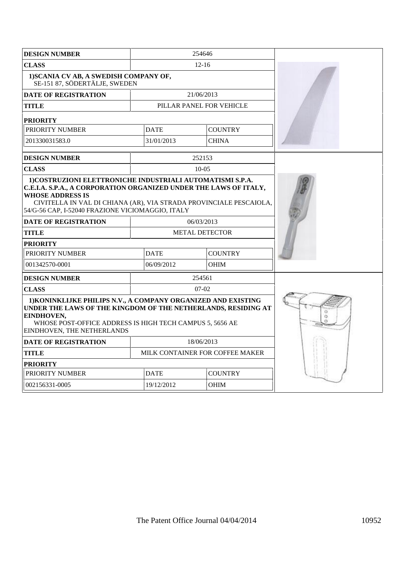| <b>DESIGN NUMBER</b>                                                                                                                                                                                                                                                                 |                       | 254646                   |                                 |  |
|--------------------------------------------------------------------------------------------------------------------------------------------------------------------------------------------------------------------------------------------------------------------------------------|-----------------------|--------------------------|---------------------------------|--|
| <b>CLASS</b>                                                                                                                                                                                                                                                                         |                       | $12 - 16$                |                                 |  |
| 1) SCANIA CV AB, A SWEDISH COMPANY OF,<br>SE-151 87, SÖDERTÄLJE, SWEDEN                                                                                                                                                                                                              |                       |                          |                                 |  |
| <b>DATE OF REGISTRATION</b>                                                                                                                                                                                                                                                          |                       | 21/06/2013               |                                 |  |
| <b>TITLE</b>                                                                                                                                                                                                                                                                         |                       | PILLAR PANEL FOR VEHICLE |                                 |  |
| <b>PRIORITY</b>                                                                                                                                                                                                                                                                      |                       |                          |                                 |  |
| PRIORITY NUMBER                                                                                                                                                                                                                                                                      |                       | <b>DATE</b>              | <b>COUNTRY</b>                  |  |
| 201330031583.0                                                                                                                                                                                                                                                                       |                       | 31/01/2013               | <b>CHINA</b>                    |  |
| <b>DESIGN NUMBER</b>                                                                                                                                                                                                                                                                 |                       | 252153                   |                                 |  |
| <b>CLASS</b>                                                                                                                                                                                                                                                                         |                       | $10 - 05$                |                                 |  |
| 1) COSTRUZIONI ELETTRONICHE INDUSTRIALI AUTOMATISMI S.P.A.<br>C.E.I.A. S.P.A., A CORPORATION ORGANIZED UNDER THE LAWS OF ITALY,<br><b>WHOSE ADDRESS IS</b><br>CIVITELLA IN VAL DI CHIANA (AR), VIA STRADA PROVINCIALE PESCAIOLA,<br>54/G-56 CAP, I-52040 FRAZIONE VICIOMAGGIO, ITALY |                       |                          |                                 |  |
| <b>DATE OF REGISTRATION</b>                                                                                                                                                                                                                                                          | 06/03/2013            |                          |                                 |  |
| <b>TITLE</b>                                                                                                                                                                                                                                                                         | <b>METAL DETECTOR</b> |                          |                                 |  |
| <b>PRIORITY</b>                                                                                                                                                                                                                                                                      |                       |                          |                                 |  |
| PRIORITY NUMBER                                                                                                                                                                                                                                                                      |                       | <b>DATE</b>              | <b>COUNTRY</b>                  |  |
| 001342570-0001                                                                                                                                                                                                                                                                       |                       | 06/09/2012               | <b>OHIM</b>                     |  |
| <b>DESIGN NUMBER</b>                                                                                                                                                                                                                                                                 |                       | 254561                   |                                 |  |
| <b>CLASS</b>                                                                                                                                                                                                                                                                         |                       | $07-02$                  |                                 |  |
| 1) KONINKLIJKE PHILIPS N.V., A COMPANY ORGANIZED AND EXISTING<br>UNDER THE LAWS OF THE KINGDOM OF THE NETHERLANDS, RESIDING AT<br>EINDHOVEN,<br>WHOSE POST-OFFICE ADDRESS IS HIGH TECH CAMPUS 5, 5656 AE<br>EINDHOVEN, THE NETHERLANDS                                               |                       |                          |                                 |  |
| <b>DATE OF REGISTRATION</b>                                                                                                                                                                                                                                                          | 18/06/2013            |                          |                                 |  |
| <b>TITLE</b>                                                                                                                                                                                                                                                                         |                       |                          | MILK CONTAINER FOR COFFEE MAKER |  |
| <b>PRIORITY</b>                                                                                                                                                                                                                                                                      |                       |                          |                                 |  |
| PRIORITY NUMBER                                                                                                                                                                                                                                                                      |                       | <b>DATE</b>              | <b>COUNTRY</b>                  |  |
| 002156331-0005                                                                                                                                                                                                                                                                       |                       | 19/12/2012               | <b>OHIM</b>                     |  |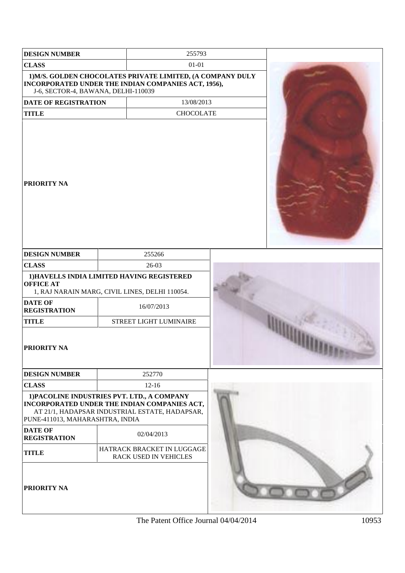| <b>DESIGN NUMBER</b>                  | 255793                                                                                                                                        |  |
|---------------------------------------|-----------------------------------------------------------------------------------------------------------------------------------------------|--|
| <b>CLASS</b>                          | $01 - 01$                                                                                                                                     |  |
| J-6, SECTOR-4, BAWANA, DELHI-110039   | 1) M/S. GOLDEN CHOCOLATES PRIVATE LIMITED, (A COMPANY DULY<br>INCORPORATED UNDER THE INDIAN COMPANIES ACT, 1956),                             |  |
| <b>DATE OF REGISTRATION</b>           | 13/08/2013                                                                                                                                    |  |
| <b>TITLE</b>                          | <b>CHOCOLATE</b>                                                                                                                              |  |
| <b>PRIORITY NA</b>                    |                                                                                                                                               |  |
| <b>DESIGN NUMBER</b>                  | 255266                                                                                                                                        |  |
| <b>CLASS</b>                          | 26-03                                                                                                                                         |  |
| <b>OFFICE AT</b>                      | 1) HAVELLS INDIA LIMITED HAVING REGISTERED<br>1, RAJ NARAIN MARG, CIVIL LINES, DELHI 110054.                                                  |  |
| <b>DATE OF</b><br><b>REGISTRATION</b> | 16/07/2013                                                                                                                                    |  |
| <b>TITLE</b>                          | STREET LIGHT LUMINAIRE                                                                                                                        |  |
| <b>PRIORITY NA</b>                    |                                                                                                                                               |  |
| <b>DESIGN NUMBER</b>                  | 252770                                                                                                                                        |  |
| <b>CLASS</b>                          | $12 - 16$                                                                                                                                     |  |
| PUNE-411013, MAHARASHTRA, INDIA       | 1) PACOLINE INDUSTRIES PVT. LTD., A COMPANY<br>INCORPORATED UNDER THE INDIAN COMPANIES ACT,<br>AT 21/1, HADAPSAR INDUSTRIAL ESTATE, HADAPSAR, |  |
| <b>DATE OF</b><br><b>REGISTRATION</b> | 02/04/2013                                                                                                                                    |  |
| <b>TITLE</b>                          | HATRACK BRACKET IN LUGGAGE<br>RACK USED IN VEHICLES                                                                                           |  |
| PRIORITY NA                           |                                                                                                                                               |  |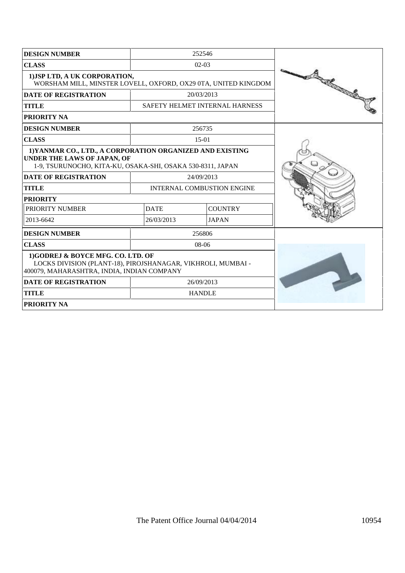| <b>DESIGN NUMBER</b>                                                                                                                                          |             | 252546                            |                                                                                                                                                                                                                                |
|---------------------------------------------------------------------------------------------------------------------------------------------------------------|-------------|-----------------------------------|--------------------------------------------------------------------------------------------------------------------------------------------------------------------------------------------------------------------------------|
| <b>CLASS</b>                                                                                                                                                  |             | $02-03$                           |                                                                                                                                                                                                                                |
| 1) JSP LTD, A UK CORPORATION,<br>WORSHAM MILL, MINSTER LOVELL, OXFORD, OX29 0TA, UNITED KINGDOM                                                               |             |                                   | No of the Contract of the Contract of the Contract of the Contract of The Contract of The Contract of The Contract of The Contract of The Contract of The Contract of The Contract of The Contract of The Contract of The Cont |
| <b>DATE OF REGISTRATION</b>                                                                                                                                   |             | 20/03/2013                        |                                                                                                                                                                                                                                |
| <b>TITLE</b>                                                                                                                                                  |             | SAFETY HELMET INTERNAL HARNESS    |                                                                                                                                                                                                                                |
| <b>PRIORITY NA</b>                                                                                                                                            |             |                                   |                                                                                                                                                                                                                                |
| <b>DESIGN NUMBER</b>                                                                                                                                          |             | 256735                            |                                                                                                                                                                                                                                |
| <b>CLASS</b>                                                                                                                                                  |             | $15-01$                           |                                                                                                                                                                                                                                |
| 1) YANMAR CO., LTD., A CORPORATION ORGANIZED AND EXISTING<br><b>UNDER THE LAWS OF JAPAN, OF</b><br>1-9, TSURUNOCHO, KITA-KU, OSAKA-SHI, OSAKA 530-8311, JAPAN |             |                                   |                                                                                                                                                                                                                                |
| <b>DATE OF REGISTRATION</b>                                                                                                                                   |             | 24/09/2013                        |                                                                                                                                                                                                                                |
| <b>TITLE</b>                                                                                                                                                  |             | <b>INTERNAL COMBUSTION ENGINE</b> |                                                                                                                                                                                                                                |
| <b>PRIORITY</b>                                                                                                                                               |             |                                   |                                                                                                                                                                                                                                |
| PRIORITY NUMBER                                                                                                                                               | <b>DATE</b> | <b>COUNTRY</b>                    |                                                                                                                                                                                                                                |
| 2013-6642                                                                                                                                                     | 26/03/2013  | <b>JAPAN</b>                      |                                                                                                                                                                                                                                |
| <b>DESIGN NUMBER</b>                                                                                                                                          |             | 256806                            |                                                                                                                                                                                                                                |
| <b>CLASS</b>                                                                                                                                                  |             | $08-06$                           |                                                                                                                                                                                                                                |
| 1)GODREJ & BOYCE MFG. CO. LTD. OF<br>LOCKS DIVISION (PLANT-18), PIROJSHANAGAR, VIKHROLI, MUMBAI -<br>400079, MAHARASHTRA, INDIA, INDIAN COMPANY               |             |                                   |                                                                                                                                                                                                                                |
| <b>DATE OF REGISTRATION</b>                                                                                                                                   |             | 26/09/2013                        |                                                                                                                                                                                                                                |
| <b>TITLE</b>                                                                                                                                                  |             | <b>HANDLE</b>                     |                                                                                                                                                                                                                                |
| <b>PRIORITY NA</b>                                                                                                                                            |             |                                   |                                                                                                                                                                                                                                |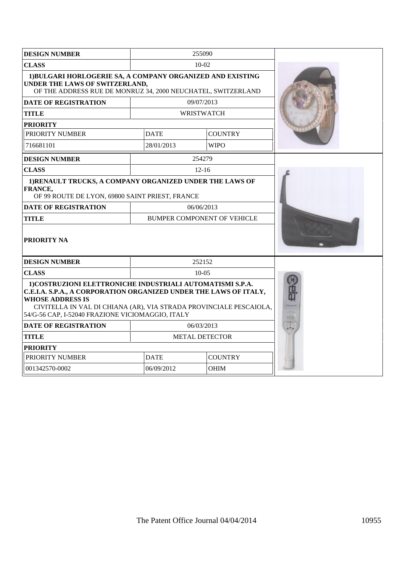| <b>DESIGN NUMBER</b>                                                                                                                                                                                                                                                                 |             | 255090                      |  |
|--------------------------------------------------------------------------------------------------------------------------------------------------------------------------------------------------------------------------------------------------------------------------------------|-------------|-----------------------------|--|
| <b>CLASS</b>                                                                                                                                                                                                                                                                         |             | $10-02$                     |  |
| 1) BULGARI HORLOGERIE SA, A COMPANY ORGANIZED AND EXISTING<br>UNDER THE LAWS OF SWITZERLAND,<br>OF THE ADDRESS RUE DE MONRUZ 34, 2000 NEUCHATEL, SWITZERLAND                                                                                                                         |             |                             |  |
| <b>DATE OF REGISTRATION</b>                                                                                                                                                                                                                                                          |             | 09/07/2013                  |  |
| <b>TITLE</b>                                                                                                                                                                                                                                                                         |             | WRISTWATCH                  |  |
| <b>PRIORITY</b>                                                                                                                                                                                                                                                                      |             |                             |  |
| PRIORITY NUMBER                                                                                                                                                                                                                                                                      | <b>DATE</b> | <b>COUNTRY</b>              |  |
| 716681101                                                                                                                                                                                                                                                                            | 28/01/2013  | <b>WIPO</b>                 |  |
| <b>DESIGN NUMBER</b>                                                                                                                                                                                                                                                                 |             | 254279                      |  |
| <b>CLASS</b>                                                                                                                                                                                                                                                                         |             | $12 - 16$                   |  |
| 1) RENAULT TRUCKS, A COMPANY ORGANIZED UNDER THE LAWS OF<br>FRANCE,<br>OF 99 ROUTE DE LYON, 69800 SAINT PRIEST, FRANCE                                                                                                                                                               |             |                             |  |
| <b>DATE OF REGISTRATION</b>                                                                                                                                                                                                                                                          |             | 06/06/2013                  |  |
| <b>TITLE</b>                                                                                                                                                                                                                                                                         |             | BUMPER COMPONENT OF VEHICLE |  |
| PRIORITY NA                                                                                                                                                                                                                                                                          |             |                             |  |
| <b>DESIGN NUMBER</b>                                                                                                                                                                                                                                                                 |             | 252152                      |  |
| <b>CLASS</b>                                                                                                                                                                                                                                                                         |             | $10-0.5$                    |  |
| 1) COSTRUZIONI ELETTRONICHE INDUSTRIALI AUTOMATISMI S.P.A.<br>C.E.I.A. S.P.A., A CORPORATION ORGANIZED UNDER THE LAWS OF ITALY,<br><b>WHOSE ADDRESS IS</b><br>CIVITELLA IN VAL DI CHIANA (AR), VIA STRADA PROVINCIALE PESCAIOLA,<br>54/G-56 CAP, I-52040 FRAZIONE VICIOMAGGIO, ITALY |             |                             |  |
| <b>DATE OF REGISTRATION</b>                                                                                                                                                                                                                                                          |             | 06/03/2013                  |  |
| <b>TITLE</b>                                                                                                                                                                                                                                                                         |             | <b>METAL DETECTOR</b>       |  |
| <b>PRIORITY</b>                                                                                                                                                                                                                                                                      |             |                             |  |
| PRIORITY NUMBER                                                                                                                                                                                                                                                                      | <b>DATE</b> | <b>COUNTRY</b>              |  |
| 001342570-0002                                                                                                                                                                                                                                                                       | 06/09/2012  | OHIM                        |  |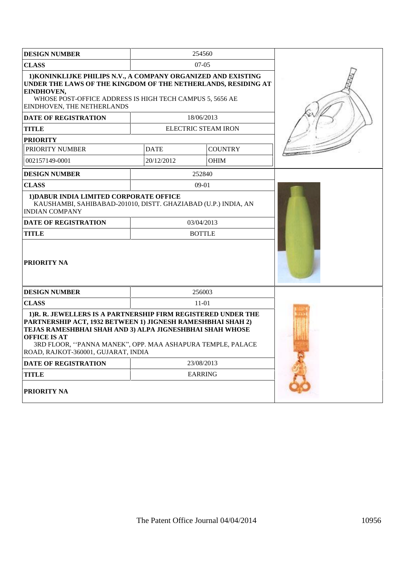| <b>DESIGN NUMBER</b>                                                                                                                                                                                                                                                                                                 |             | 254560              |  |
|----------------------------------------------------------------------------------------------------------------------------------------------------------------------------------------------------------------------------------------------------------------------------------------------------------------------|-------------|---------------------|--|
| <b>CLASS</b>                                                                                                                                                                                                                                                                                                         |             | $07-05$             |  |
| 1) KONINKLIJKE PHILIPS N.V., A COMPANY ORGANIZED AND EXISTING<br>UNDER THE LAWS OF THE KINGDOM OF THE NETHERLANDS, RESIDING AT<br>EINDHOVEN,<br>WHOSE POST-OFFICE ADDRESS IS HIGH TECH CAMPUS 5, 5656 AE<br>EINDHOVEN, THE NETHERLANDS                                                                               |             |                     |  |
| <b>DATE OF REGISTRATION</b>                                                                                                                                                                                                                                                                                          |             | 18/06/2013          |  |
| <b>TITLE</b>                                                                                                                                                                                                                                                                                                         |             | ELECTRIC STEAM IRON |  |
| <b>PRIORITY</b>                                                                                                                                                                                                                                                                                                      |             |                     |  |
| PRIORITY NUMBER                                                                                                                                                                                                                                                                                                      | <b>DATE</b> | <b>COUNTRY</b>      |  |
| 002157149-0001                                                                                                                                                                                                                                                                                                       | 20/12/2012  | <b>OHIM</b>         |  |
| <b>DESIGN NUMBER</b>                                                                                                                                                                                                                                                                                                 |             | 252840              |  |
| <b>CLASS</b>                                                                                                                                                                                                                                                                                                         |             | 09-01               |  |
| 1) DABUR INDIA LIMITED CORPORATE OFFICE<br>KAUSHAMBI, SAHIBABAD-201010, DISTT. GHAZIABAD (U.P.) INDIA, AN<br><b>INDIAN COMPANY</b>                                                                                                                                                                                   |             |                     |  |
| <b>DATE OF REGISTRATION</b>                                                                                                                                                                                                                                                                                          |             | 03/04/2013          |  |
| <b>TITLE</b>                                                                                                                                                                                                                                                                                                         |             | <b>BOTTLE</b>       |  |
| PRIORITY NA                                                                                                                                                                                                                                                                                                          |             |                     |  |
| <b>DESIGN NUMBER</b>                                                                                                                                                                                                                                                                                                 | 256003      |                     |  |
| <b>CLASS</b><br>$11-01$                                                                                                                                                                                                                                                                                              |             |                     |  |
| 1) R. R. JEWELLERS IS A PARTNERSHIP FIRM REGISTERED UNDER THE<br>PARTNERSHIP ACT, 1932 BETWEEN 1) JIGNESH RAMESHBHAI SHAH 2)<br>TEJAS RAMESHBHAI SHAH AND 3) ALPA JIGNESHBHAI SHAH WHOSE<br><b>OFFICE IS AT</b><br>3RD FLOOR, "PANNA MANEK", OPP. MAA ASHAPURA TEMPLE, PALACE<br>ROAD, RAJKOT-360001, GUJARAT, INDIA |             |                     |  |
| <b>DATE OF REGISTRATION</b>                                                                                                                                                                                                                                                                                          |             | 23/08/2013          |  |
| <b>TITLE</b>                                                                                                                                                                                                                                                                                                         |             | <b>EARRING</b>      |  |
| <b>PRIORITY NA</b>                                                                                                                                                                                                                                                                                                   |             |                     |  |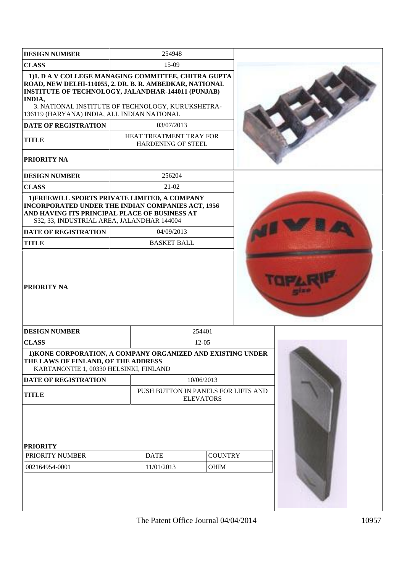| <b>DESIGN NUMBER</b>                                                                                                                                                                                                                                                               | 254948                                                  |                               |  |  |
|------------------------------------------------------------------------------------------------------------------------------------------------------------------------------------------------------------------------------------------------------------------------------------|---------------------------------------------------------|-------------------------------|--|--|
| <b>CLASS</b>                                                                                                                                                                                                                                                                       | $15-09$                                                 |                               |  |  |
| 1)1. D A V COLLEGE MANAGING COMMITTEE, CHITRA GUPTA<br>ROAD, NEW DELHI-110055, 2. DR. B. R. AMBEDKAR, NATIONAL<br>INSTITUTE OF TECHNOLOGY, JALANDHAR-144011 (PUNJAB)<br>INDIA,<br>3. NATIONAL INSTITUTE OF TECHNOLOGY, KURUKSHETRA-<br>136119 (HARYANA) INDIA, ALL INDIAN NATIONAL |                                                         |                               |  |  |
| <b>DATE OF REGISTRATION</b>                                                                                                                                                                                                                                                        | 03/07/2013                                              |                               |  |  |
| <b>TITLE</b>                                                                                                                                                                                                                                                                       | HEAT TREATMENT TRAY FOR<br>HARDENING OF STEEL           |                               |  |  |
| PRIORITY NA                                                                                                                                                                                                                                                                        |                                                         |                               |  |  |
| <b>DESIGN NUMBER</b>                                                                                                                                                                                                                                                               | 256204                                                  |                               |  |  |
| <b>CLASS</b>                                                                                                                                                                                                                                                                       | 21-02                                                   |                               |  |  |
| 1) FREEWILL SPORTS PRIVATE LIMITED, A COMPANY<br><b>INCORPORATED UNDER THE INDIAN COMPANIES ACT, 1956</b><br>AND HAVING ITS PRINCIPAL PLACE OF BUSINESS AT<br>S32, 33, INDUSTRIAL AREA, JALANDHAR 144004                                                                           |                                                         |                               |  |  |
| <b>DATE OF REGISTRATION</b>                                                                                                                                                                                                                                                        | 04/09/2013                                              |                               |  |  |
| <b>TITLE</b>                                                                                                                                                                                                                                                                       | <b>BASKET BALL</b>                                      |                               |  |  |
| <b>PRIORITY NA</b>                                                                                                                                                                                                                                                                 |                                                         |                               |  |  |
| <b>DESIGN NUMBER</b>                                                                                                                                                                                                                                                               |                                                         | 254401                        |  |  |
| <b>CLASS</b>                                                                                                                                                                                                                                                                       | 12-05                                                   |                               |  |  |
| 1) KONE CORPORATION, A COMPANY ORGANIZED AND EXISTING UNDER<br>THE LAWS OF FINLAND, OF THE ADDRESS<br>KARTANONTIE 1, 00330 HELSINKI, FINLAND                                                                                                                                       |                                                         |                               |  |  |
| <b>DATE OF REGISTRATION</b>                                                                                                                                                                                                                                                        |                                                         | 10/06/2013                    |  |  |
| <b>TITLE</b>                                                                                                                                                                                                                                                                       | PUSH BUTTON IN PANELS FOR LIFTS AND<br><b>ELEVATORS</b> |                               |  |  |
| <b>PRIORITY</b><br>PRIORITY NUMBER<br>002164954-0001                                                                                                                                                                                                                               | <b>DATE</b><br>11/01/2013                               | <b>COUNTRY</b><br><b>OHIM</b> |  |  |
|                                                                                                                                                                                                                                                                                    |                                                         |                               |  |  |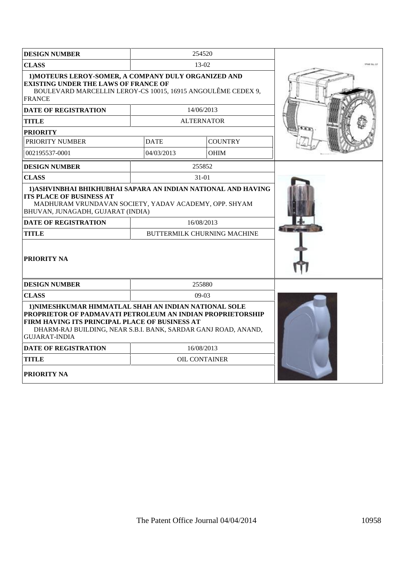| <b>DESIGN NUMBER</b>                                                                                                                                                                                                                                            | 254520               |                                                  |  |
|-----------------------------------------------------------------------------------------------------------------------------------------------------------------------------------------------------------------------------------------------------------------|----------------------|--------------------------------------------------|--|
| <b>CLASS</b>                                                                                                                                                                                                                                                    |                      | $13-02$                                          |  |
| 1) MOTEURS LEROY-SOMER, A COMPANY DULY ORGANIZED AND<br><b>EXISTING UNDER THE LAWS OF FRANCE OF</b><br>BOULEVARD MARCELLIN LEROY-CS 10015, 16915 ANGOULÊME CEDEX 9,<br><b>FRANCE</b>                                                                            |                      |                                                  |  |
| <b>DATE OF REGISTRATION</b>                                                                                                                                                                                                                                     | 14/06/2013           |                                                  |  |
| TITLE                                                                                                                                                                                                                                                           |                      | <b>ALTERNATOR</b>                                |  |
| <b>PRIORITY</b>                                                                                                                                                                                                                                                 |                      |                                                  |  |
| PRIORITY NUMBER                                                                                                                                                                                                                                                 | <b>DATE</b>          | <b>COUNTRY</b>                                   |  |
| 002195537-0001                                                                                                                                                                                                                                                  | 04/03/2013           | <b>OHIM</b>                                      |  |
| <b>DESIGN NUMBER</b>                                                                                                                                                                                                                                            |                      | 255852                                           |  |
| <b>CLASS</b>                                                                                                                                                                                                                                                    |                      | 31-01                                            |  |
| 1) ASHVINBHAI BHIKHUBHAI SAPARA AN INDIAN NATIONAL AND HAVING<br><b>ITS PLACE OF BUSINESS AT</b><br>MADHURAM VRUNDAVAN SOCIETY, YADAV ACADEMY, OPP. SHYAM<br>BHUVAN, JUNAGADH, GUJARAT (INDIA)<br><b>DATE OF REGISTRATION</b><br>TITLE<br><b>PRIORITY NA</b>    |                      | 16/08/2013<br><b>BUTTERMILK CHURNING MACHINE</b> |  |
| <b>DESIGN NUMBER</b>                                                                                                                                                                                                                                            |                      | 255880                                           |  |
| <b>CLASS</b>                                                                                                                                                                                                                                                    | $09-03$              |                                                  |  |
| 1) NIMESHKUMAR HIMMATLAL SHAH AN INDIAN NATIONAL SOLE<br>PROPRIETOR OF PADMAVATI PETROLEUM AN INDIAN PROPRIETORSHIP<br>FIRM HAVING ITS PRINCIPAL PLACE OF BUSINESS AT<br>DHARM-RAJ BUILDING, NEAR S.B.I. BANK, SARDAR GANJ ROAD, ANAND,<br><b>GUJARAT-INDIA</b> |                      |                                                  |  |
| <b>DATE OF REGISTRATION</b>                                                                                                                                                                                                                                     | 16/08/2013           |                                                  |  |
| TITLE                                                                                                                                                                                                                                                           | <b>OIL CONTAINER</b> |                                                  |  |
| PRIORITY NA                                                                                                                                                                                                                                                     |                      |                                                  |  |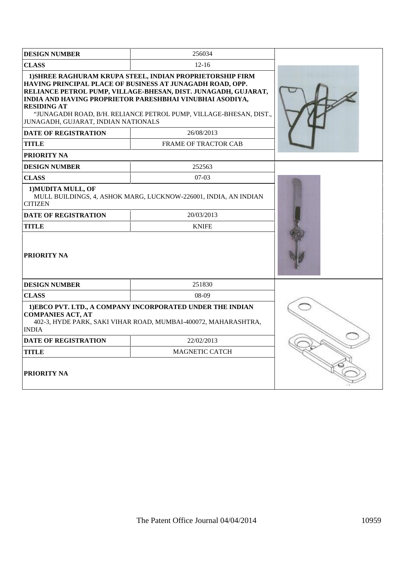| <b>DESIGN NUMBER</b>                                                                                                                                                    | 256034                                                                                                                                                                                                                                                                                                                    |  |
|-------------------------------------------------------------------------------------------------------------------------------------------------------------------------|---------------------------------------------------------------------------------------------------------------------------------------------------------------------------------------------------------------------------------------------------------------------------------------------------------------------------|--|
| <b>CLASS</b>                                                                                                                                                            | $12 - 16$                                                                                                                                                                                                                                                                                                                 |  |
| <b>RESIDING AT</b><br>JUNAGADH, GUJARAT, INDIAN NATIONALS                                                                                                               | 1) SHREE RAGHURAM KRUPA STEEL, INDIAN PROPRIETORSHIP FIRM<br>HAVING PRINCIPAL PLACE OF BUSINESS AT JUNAGADH ROAD, OPP.<br>RELIANCE PETROL PUMP, VILLAGE-BHESAN, DIST. JUNAGADH, GUJARAT,<br>INDIA AND HAVING PROPRIETOR PARESHBHAI VINUBHAI ASODIYA,<br>"JUNAGADH ROAD, B/H. RELIANCE PETROL PUMP, VILLAGE-BHESAN, DIST., |  |
| <b>DATE OF REGISTRATION</b>                                                                                                                                             | 26/08/2013                                                                                                                                                                                                                                                                                                                |  |
| <b>TITLE</b>                                                                                                                                                            | <b>FRAME OF TRACTOR CAB</b>                                                                                                                                                                                                                                                                                               |  |
| <b>PRIORITY NA</b>                                                                                                                                                      |                                                                                                                                                                                                                                                                                                                           |  |
| <b>DESIGN NUMBER</b>                                                                                                                                                    | 252563                                                                                                                                                                                                                                                                                                                    |  |
| <b>CLASS</b>                                                                                                                                                            | $07-03$                                                                                                                                                                                                                                                                                                                   |  |
| 1) MUDITA MULL, OF<br><b>CITIZEN</b>                                                                                                                                    | MULL BUILDINGS, 4, ASHOK MARG, LUCKNOW-226001, INDIA, AN INDIAN                                                                                                                                                                                                                                                           |  |
| <b>DATE OF REGISTRATION</b>                                                                                                                                             | 20/03/2013                                                                                                                                                                                                                                                                                                                |  |
| <b>TITLE</b>                                                                                                                                                            | <b>KNIFE</b>                                                                                                                                                                                                                                                                                                              |  |
| PRIORITY NA                                                                                                                                                             |                                                                                                                                                                                                                                                                                                                           |  |
| <b>DESIGN NUMBER</b>                                                                                                                                                    | 251830                                                                                                                                                                                                                                                                                                                    |  |
| <b>CLASS</b>                                                                                                                                                            | $08-09$                                                                                                                                                                                                                                                                                                                   |  |
| 1)EBCO PVT. LTD., A COMPANY INCORPORATED UNDER THE INDIAN<br><b>COMPANIES ACT, AT</b><br>402-3, HYDE PARK, SAKI VIHAR ROAD, MUMBAI-400072, MAHARASHTRA,<br><b>INDIA</b> |                                                                                                                                                                                                                                                                                                                           |  |
| <b>DATE OF REGISTRATION</b>                                                                                                                                             | 22/02/2013                                                                                                                                                                                                                                                                                                                |  |
| <b>TITLE</b>                                                                                                                                                            | <b>MAGNETIC CATCH</b>                                                                                                                                                                                                                                                                                                     |  |
| <b>PRIORITY NA</b>                                                                                                                                                      |                                                                                                                                                                                                                                                                                                                           |  |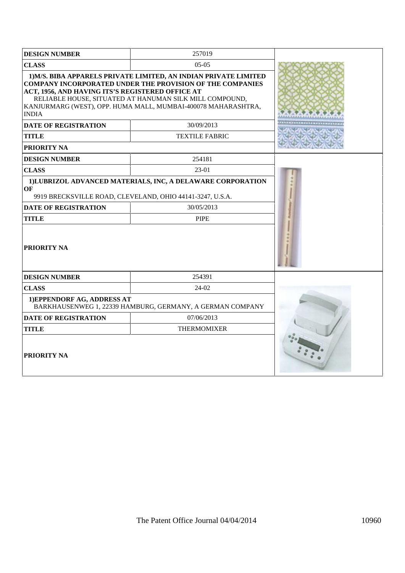| <b>DESIGN NUMBER</b>                                                                                                                                                                                                                                                                                                                                                | 257019                                                                                                                                               |  |
|---------------------------------------------------------------------------------------------------------------------------------------------------------------------------------------------------------------------------------------------------------------------------------------------------------------------------------------------------------------------|------------------------------------------------------------------------------------------------------------------------------------------------------|--|
| <b>CLASS</b><br>$05-05$                                                                                                                                                                                                                                                                                                                                             |                                                                                                                                                      |  |
| 1) M/S. BIBA APPARELS PRIVATE LIMITED, AN INDIAN PRIVATE LIMITED<br><b>COMPANY INCORPORATED UNDER THE PROVISION OF THE COMPANIES</b><br>ACT, 1956, AND HAVING ITS'S REGISTERED OFFICE AT<br>RELIABLE HOUSE, SITUATED AT HANUMAN SILK MILL COMPOUND,<br>KANJURMARG (WEST), OPP. HUMA MALL, MUMBAI-400078 MAHARASHTRA,<br><b>INDIA</b><br><b>DATE OF REGISTRATION</b> |                                                                                                                                                      |  |
| <b>TITLE</b>                                                                                                                                                                                                                                                                                                                                                        | <b>TEXTILE FABRIC</b>                                                                                                                                |  |
| <b>PRIORITY NA</b>                                                                                                                                                                                                                                                                                                                                                  |                                                                                                                                                      |  |
| <b>DESIGN NUMBER</b>                                                                                                                                                                                                                                                                                                                                                | 254181                                                                                                                                               |  |
| <b>CLASS</b>                                                                                                                                                                                                                                                                                                                                                        | 23-01                                                                                                                                                |  |
| OF<br><b>DATE OF REGISTRATION</b><br><b>TITLE</b><br>  PRIORITY NA                                                                                                                                                                                                                                                                                                  | 1)LUBRIZOL ADVANCED MATERIALS, INC, A DELAWARE CORPORATION<br>9919 BRECKSVILLE ROAD, CLEVELAND, OHIO 44141-3247, U.S.A.<br>30/05/2013<br><b>PIPE</b> |  |
| <b>DESIGN NUMBER</b>                                                                                                                                                                                                                                                                                                                                                | 254391                                                                                                                                               |  |
| <b>CLASS</b>                                                                                                                                                                                                                                                                                                                                                        | 24-02                                                                                                                                                |  |
| 1) EPPENDORF AG, ADDRESS AT<br>BARKHAUSENWEG 1, 22339 HAMBURG, GERMANY, A GERMAN COMPANY                                                                                                                                                                                                                                                                            |                                                                                                                                                      |  |
| DATE OF REGISTRATION                                                                                                                                                                                                                                                                                                                                                | 07/06/2013                                                                                                                                           |  |
| <b>TITLE</b>                                                                                                                                                                                                                                                                                                                                                        | <b>THERMOMIXER</b>                                                                                                                                   |  |
| <b>PRIORITY NA</b>                                                                                                                                                                                                                                                                                                                                                  |                                                                                                                                                      |  |